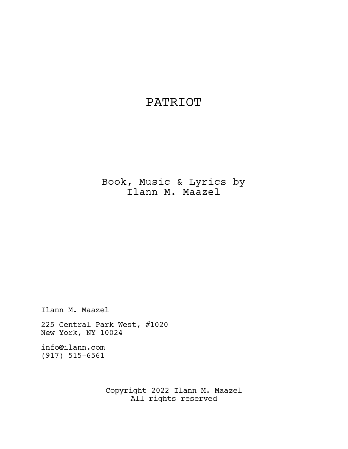# PATRIOT

Book, Music & Lyrics by Ilann M. Maazel

Ilann M. Maazel

225 Central Park West, #1020 New York, NY 10024

info@ilann.com (917) 515-6561

> Copyright 2022 Ilann M. Maazel All rights reserved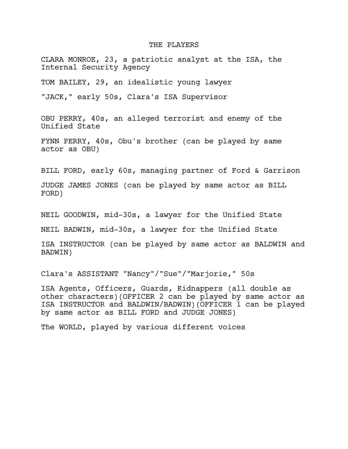# THE PLAYERS

CLARA MONROE, 23, a patriotic analyst at the ISA, the Internal Security Agency

TOM BAILEY, 29, an idealistic young lawyer

"JACK," early 50s, Clara's ISA Supervisor

OBU PERRY, 40s, an alleged terrorist and enemy of the Unified State

FYNN PERRY, 40s, Obu's brother (can be played by same actor as OBU)

BILL FORD, early 60s, managing partner of Ford & Garrison

JUDGE JAMES JONES (can be played by same actor as BILL FORD)

NEIL GOODWIN, mid-30s, a lawyer for the Unified State

NEIL BADWIN, mid-30s, a lawyer for the Unified State

ISA INSTRUCTOR (can be played by same actor as BALDWIN and BADWIN)

Clara's ASSISTANT "Nancy"/"Sue"/"Marjorie," 50s

ISA Agents, Officers, Guards, Kidnappers (all double as other characters)(OFFICER 2 can be played by same actor as ISA INSTRUCTOR and BALDWIN/BADWIN)(OFFICER 1 can be played by same actor as BILL FORD and JUDGE JONES)

The WORLD, played by various different voices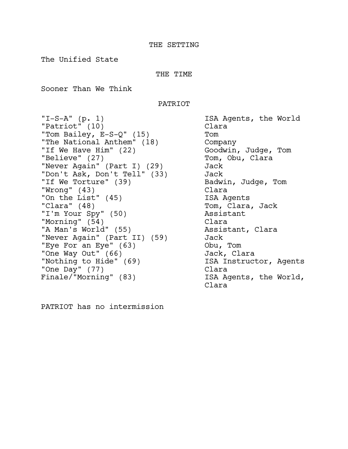The Unified State

THE TIME

Sooner Than We Think

PATRIOT

"I-S-A" (p. 1) ISA Agents, the World "Patriot" (10) Clara "Tom Bailey, E-S-Q" (15) Tom "The National Anthem" (18) Company "If We Have Him" (22) Goodwin, Judge, Tom "Believe" (27) Tom, Obu, Clara "Never Again" (Part I) (29) Jack "Don't Ask, Don't Tell" (33) Jack "If We Torture" (39) Badwin, Judge, Tom "Wrong" (43) Clara "On the List" (45) ISA Agents "Clara" (48) Tom, Clara, Jack "I'm Your Spy" (50) Assistant "Morning" (54) Clara "A Man's World" (55) Assistant, Clara "Never Again" (Part II) (59) Jack "Eye For an Eye" (63) Obu, Tom "One Way Out" (66) Chara "Nothing to Hide" (69) TSA Instructor, Agents "One Day" (77) Clara Finale/"Morning" (83) ISA Agents, the World,

Clara

PATRIOT has no intermission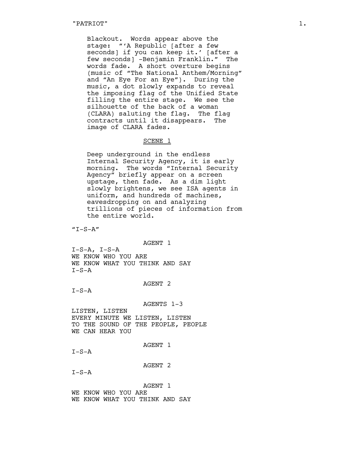Blackout. Words appear above the stage: "'A Republic [after a few seconds] if you can keep it.' [after a few seconds] -Benjamin Franklin." The words fade. A short overture begins (music of "The National Anthem/Morning" and "An Eye For an Eye"). During the music, a dot slowly expands to reveal the imposing flag of the Unified State filling the entire stage. We see the silhouette of the back of a woman (CLARA) saluting the flag. The flag contracts until it disappears. The image of CLARA fades.

#### SCENE 1

Deep underground in the endless Internal Security Agency, it is early morning. The words "Internal Security Agency" briefly appear on a screen upstage, then fade. As a dim light slowly brightens, we see ISA agents in uniform, and hundreds of machines, eavesdropping on and analyzing trillions of pieces of information from the entire world.

 $"T-S-A"$ 

AGENT 1

 $I-S-A$ ,  $I-S-A$ WE KNOW WHO YOU ARE WE KNOW WHAT YOU THINK AND SAY  $T-S-A$ 

# AGENT 2

 $I-S-A$ 

AGENTS 1-3

LISTEN, LISTEN EVERY MINUTE WE LISTEN, LISTEN TO THE SOUND OF THE PEOPLE, PEOPLE WE CAN HEAR YOU

AGENT 1

 $I-S-A$ 

AGENT 2

 $I-S-A$ 

AGENT 1 WE KNOW WHO YOU ARE WE KNOW WHAT YOU THINK AND SAY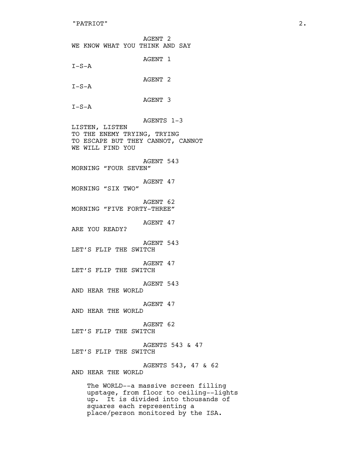AGENT 2 WE KNOW WHAT YOU THINK AND SAY AGENT 1  $I-S-A$ AGENT 2  $I-S-A$ AGENT 3  $I-S-A$ AGENTS 1-3 LISTEN, LISTEN TO THE ENEMY TRYING, TRYING TO ESCAPE BUT THEY CANNOT, CANNOT WE WILL FIND YOU AGENT 543 MORNING "FOUR SEVEN" AGENT 47 MORNING "SIX TWO" AGENT 62 MORNING "FIVE FORTY-THREE" AGENT 47 ARE YOU READY? AGENT 543 LET'S FLIP THE SWITCH AGENT 47 LET'S FLIP THE SWITCH AGENT 543 AND HEAR THE WORLD AGENT 47 AND HEAR THE WORLD AGENT 62 LET'S FLIP THE SWITCH AGENTS 543 & 47 LET'S FLIP THE SWITCH AGENTS 543, 47 & 62 AND HEAR THE WORLD The WORLD--a massive screen filling upstage, from floor to ceiling--lights up. It is divided into thousands of squares each representing a

place/person monitored by the ISA.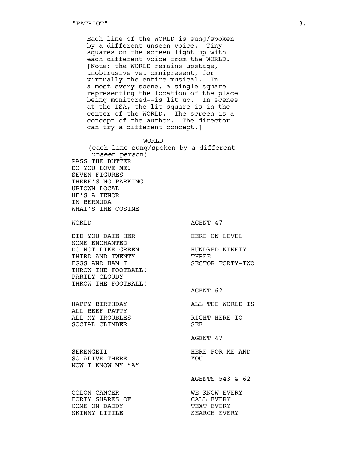Each line of the WORLD is sung/spoken by a different unseen voice. Tiny squares on the screen light up with each different voice from the WORLD. [Note: the WORLD remains upstage, unobtrusive yet omnipresent, for virtually the entire musical. In almost every scene, a single square- representing the location of the place being monitored--is lit up. In scenes at the ISA, the lit square is in the center of the WORLD. The screen is a concept of the author. The director can try a different concept.]

#### WORLD

(each line sung/spoken by a different unseen person) PASS THE BUTTER DO YOU LOVE ME? SEVEN FIGURES THERE'S NO PARKING UPTOWN LOCAL HE'S A TENOR IN BERMUDA WHAT'S THE COSINE

WORLD MORLD AGENT 47

DID YOU DATE HERE NERE ON LEVEL SOME ENCHANTED DO NOT LIKE GREEN HUNDRED NINETY-<br>THIRD AND TWENTY THREE THIRD AND TWENTY EGGS AND HAM I SECTOR FORTY-TWO THROW THE FOOTBALL! PARTLY CLOUDY THROW THE FOOTBALL!

HAPPY BIRTHDAY ALL THE WORLD IS ALL BEEF PATTY ALL MY TROUBLES RIGHT HERE TO SOCIAL CLIMBER SEE

AGENT 47

AGENT 62

AGENTS 543 & 62

COLON CANCER WE KNOW EVERY

SERENGETI **HERE FOR ME AND** SO ALIVE THERE YOU NOW I KNOW MY "A"

FORTY SHARES OF CALL EVERY COME ON DADDY SKINNY LITTLE SEARCH EVERY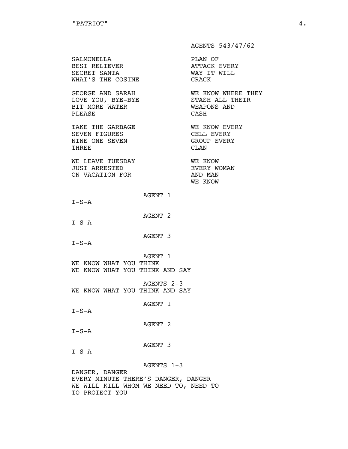AGENTS 543/47/62 SALMONELLA PLAN OF BEST RELIEVER **ATTACK EVERY** SECRET SANTA WAY IT WILL WHAT'S THE COSINE CRACK GEORGE AND SARAH WE KNOW WHERE THEY LOVE YOU, BYE-BYE STASH ALL THEIR BIT MORE WATER **WEAPONS** AND PLEASE CASH TAKE THE GARBAGE **WE KNOW EVERY** SEVEN FIGURES CELL EVERY NINE ONE SEVEN GROUP EVERY THREE CLAN WE LEAVE TUESDAY **WE KNOW** JUST ARRESTED **EVERY WOMAN** ON VACATION FOR AND MAN WE KNOW AGENT 1  $I-S-A$ AGENT 2  $I-S-A$ AGENT 3  $I-S-A$ AGENT 1 WE KNOW WHAT YOU THINK WE KNOW WHAT YOU THINK AND SAY AGENTS 2-3 WE KNOW WHAT YOU THINK AND SAY AGENT 1  $I-S-A$ AGENT 2  $I-S-A$ AGENT 3  $I-S-A$ AGENTS 1-3 DANGER, DANGER

EVERY MINUTE THERE'S DANGER, DANGER WE WILL KILL WHOM WE NEED TO, NEED TO TO PROTECT YOU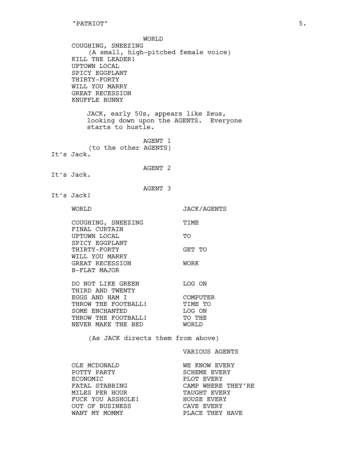WORLD COUGHING, SNEEZING (A small, high-pitched female voice) KILL THE LEADER! UPTOWN LOCAL SPICY EGGPLANT THIRTY-FORTY WILL YOU MARRY GREAT RECESSION KNUFFLE BUNNY JACK, early 50s, appears like Zeus, looking down upon the AGENTS. Everyone starts to hustle. AGENT 1 (to the other AGENTS) It's Jack. AGENT 2 It's Jack. AGENT 3 It's Jack! WORLD JACK/AGENTS COUGHING, SNEEZING TIME FINAL CURTAIN UPTOWN LOCAL TO TO SPICY EGGPLANT THIRTY-FORTY GET TO WILL YOU MARRY GREAT RECESSION WORK B-FLAT MAJOR DO NOT LIKE GREEN LOG ON THIRD AND TWENTY<br>THIRD AND TWENTY EGGS AND HAM I COMPUTER THROW THE FOOTBALL! TIME TO SOME ENCHANTED LOG ON THROW THE FOOTBALL! TO THE NEVER MAKE THE BED WORLD (As JACK directs them from above) VARIOUS AGENTS

OLE MCDONALD WE KNOW EVERY POTTY PARTY **EXELEME SOME SOME ASSESS** ECONOMIC **EXERY** FATAL STABBING **CAMP WHERE THEY'RE** MILES PER HOUR **TAUGHT EVERY** FUCK YOU ASSHOLE! HOUSE EVERY OUT OF BUSINESS CAVE EVERY WANT MY MOMMY **EXACT SERVIF** PLACE THEY HAVE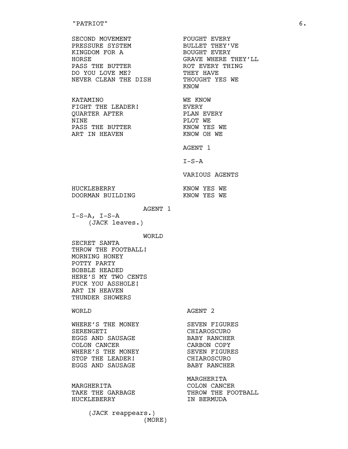### "PATRIOT" 6.

| SECOND MOVEMENT<br>PRESSURE SYSTEM<br>KINGDOM FOR A<br><b>HORSE</b><br>PASS THE BUTTER<br>DO YOU LOVE ME?<br>NEVER CLEAN THE DISH | FOUGHT EVERY<br>BULLET THEY'VE<br>BOUGHT EVERY<br>GRAVE WHERE THEY'IL<br>ROT EVERY THING<br>THEY HAVE<br>THOUGHT YES WE<br><b>KNOW</b> |
|-----------------------------------------------------------------------------------------------------------------------------------|----------------------------------------------------------------------------------------------------------------------------------------|
| <b>KATAMINO</b><br>FIGHT THE LEADER!<br>QUARTER AFTER<br>NTNF.<br>PASS THE BUTTER<br>ART IN HEAVEN                                | WF. KNOW<br>EVERY<br>PLAN EVERY<br>PLOT WE<br>KNOW YES WE<br>KNOW OH WE<br>AGENT 1<br>$T-S-A$                                          |
|                                                                                                                                   | VARIOUS AGENTS                                                                                                                         |
| HUCKLEBERRY<br>DOORMAN BUTLDING                                                                                                   | KNOW YES WE<br>KNOW YES WE                                                                                                             |

AGENT 1

 $I-S-A$ ,  $I-S-A$ (JACK leaves.)

WORLD

SECRET SANTA THROW THE FOOTBALL! MORNING HONEY POTTY PARTY BOBBLE HEADED HERE'S MY TWO CENTS FUCK YOU ASSHOLE! ART IN HEAVEN THUNDER SHOWERS

WORLD AGENT 2

MARGHERITA

THROW THE FOOTBALL

| WHERE'S THE MONEY | SEVEN FIGURES |  |
|-------------------|---------------|--|
| SERENGETT         | CHTAROSCURO   |  |
| EGGS AND SAUSAGE  | BABY RANCHER  |  |
| COLON CANCER      | CARBON COPY   |  |
| WHERE'S THE MONEY | SEVEN FIGURES |  |
| STOP THE LEADER!  | CHTAROSCURO   |  |
| EGGS AND SAUSAGE  | BABY RANCHER  |  |
|                   |               |  |

MARGHERITA COLON CANCER HUCKLEBERRY IN BERMUDA

> (JACK reappears.) (MORE)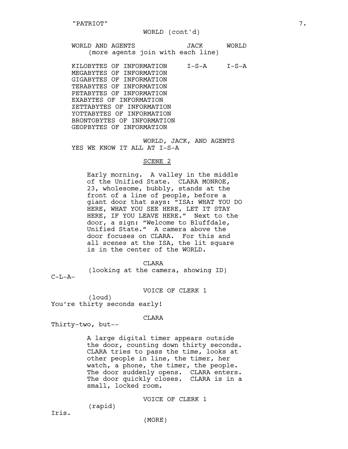#### WORLD (cont'd)

WORLD AND AGENTS JACK WORLD (more agents join with each line)

KILOBYTES OF INFORMATION I-S-A I-S-A MEGABYTES OF INFORMATION GIGABYTES OF INFORMATION TERABYTES OF INFORMATION PETABYTES OF INFORMATION EXABYTES OF INFORMATION ZETTABYTES OF INFORMATION YOTTABYTES OF INFORMATION BRONTOBYTES OF INFORMATION GEOPBYTES OF INFORMATION

WORLD, JACK, AND AGENTS YES WE KNOW IT ALL AT I-S-A

#### SCENE 2

Early morning. A valley in the middle of the Unified State. CLARA MONROE, 23, wholesome, bubbly, stands at the front of a line of people, before a giant door that says: "ISA: WHAT YOU DO HERE, WHAT YOU SEE HERE, LET IT STAY HERE, IF YOU LEAVE HERE." Next to the door, a sign: "Welcome to Bluffdale, Unified State." A camera above the door focuses on CLARA. For this and all scenes at the ISA, the lit square is in the center of the WORLD.

CLARA

(looking at the camera, showing ID)

 $C-L-A-$ 

VOICE OF CLERK 1

(loud) You're thirty seconds early!

CLARA

Thirty-two, but--

A large digital timer appears outside the door, counting down thirty seconds. CLARA tries to pass the time, looks at other people in line, the timer, her watch, a phone, the timer, the people. The door suddenly opens. CLARA enters. The door quickly closes. CLARA is in a small, locked room.

VOICE OF CLERK 1

(rapid)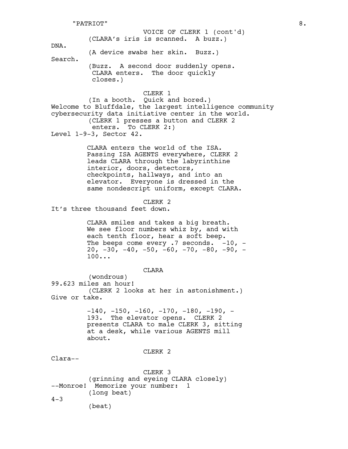(CLARA's iris is scanned. A buzz.) DNA. (A device swabs her skin. Buzz.) Search. (Buzz. A second door suddenly opens. CLARA enters. The door quickly closes.) CLERK 1 (In a booth. Quick and bored.) Welcome to Bluffdale, the largest intelligence community cybersecurity data initiative center in the world. (CLERK 1 presses a button and CLERK 2 enters. To CLERK 2:) Level 1-9-3, Sector 42. CLARA enters the world of the ISA. Passing ISA AGENTS everywhere, CLERK 2 leads CLARA through the labyrinthine interior, doors, detectors, checkpoints, hallways, and into an elevator. Everyone is dressed in the same nondescript uniform, except CLARA. CLERK 2 It's three thousand feet down. CLARA smiles and takes a big breath. We see floor numbers whiz by, and with each tenth floor, hear a soft beep. The beeps come every  $.7$  seconds.  $-10$ ,  $20, -30, -40, -50, -60, -70, -80, -90, -90$ 100... CLARA (wondrous) 99.623 miles an hour! (CLERK 2 looks at her in astonishment.) Give or take.  $-140$ ,  $-150$ ,  $-160$ ,  $-170$ ,  $-180$ ,  $-190$ ,  $-$ 193. The elevator opens. CLERK 2 presents CLARA to male CLERK 3, sitting at a desk, while various AGENTS mill about. CLERK 2 Clara-- CLERK 3 (grinning and eyeing CLARA closely) --Monroe! Memorize your number: 1 (long beat)  $4 - 3$ (beat) VOICE OF CLERK 1 (cont'd) "PATRIOT" 8.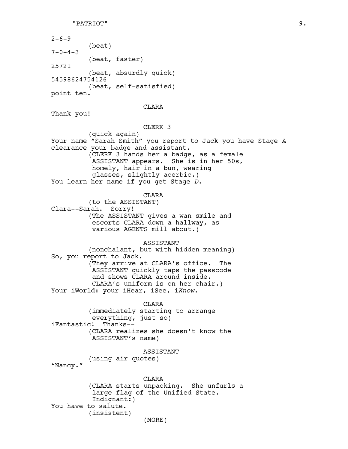$2 - 6 - 9$ (beat)  $7 - 0 - 4 - 3$ (beat, faster) 25721 (beat, absurdly quick) 54598624754126 (beat, self-satisfied) point ten.

## CLARA

Thank you!

#### CLERK 3

(quick again) Your name "Sarah Smith" you report to Jack you have Stage *A* clearance your badge and assistant. (CLERK 3 hands her a badge, as a female ASSISTANT appears. She is in her 50s, homely, hair in a bun, wearing glasses, slightly acerbic.) You learn her name if you get Stage *D*.

CLARA

(to the ASSISTANT) Clara--Sarah. Sorry! (The ASSISTANT gives a wan smile and escorts CLARA down a hallway, as various AGENTS mill about.)

ASSISTANT

(nonchalant, but with hidden meaning) So, you report to Jack. (They arrive at CLARA's office. The ASSISTANT quickly taps the passcode and shows CLARA around inside. CLARA's uniform is on her chair.) Your iWorld: your iHear, iSee, i*Know*.

**CLARA** (immediately starting to arrange everything, just so) iFantastic! Thanks-- (CLARA realizes she doesn't know the ASSISTANT's name)

ASSISTANT

(using air quotes)

"Nancy."

CLARA (CLARA starts unpacking. She unfurls a large flag of the Unified State. Indignant:) You have to salute. (insistent) (MORE)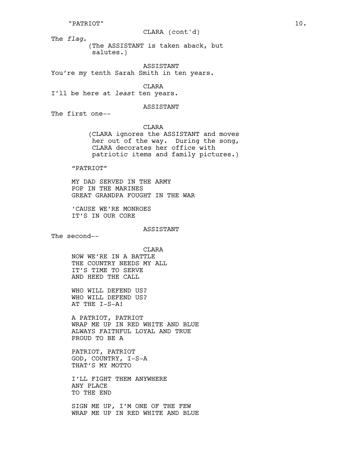#### "PATRIOT" 10.

#### CLARA (cont'd)

The *flag*.

(The ASSISTANT is taken aback, but salutes.)

# ASSISTANT

You're my tenth Sarah Smith in ten years.

CLARA

I'll be here at *least* ten years.

#### ASSISTANT

The first one--

CLARA (CLARA ignores the ASSISTANT and moves her out of the way. During the song, CLARA decorates her office with patriotic items and family pictures.)

"PATRIOT"

MY DAD SERVED IN THE ARMY POP IN THE MARINES GREAT GRANDPA FOUGHT IN THE WAR

'CAUSE WE'RE MONROES IT'S IN OUR CORE

ASSISTANT

The second--

CLARA NOW WE'RE IN A BATTLE THE COUNTRY NEEDS MY ALL IT'S TIME TO SERVE AND HEED THE CALL

WHO WILL DEFEND US? WHO WILL DEFEND US? AT THE I-S-A!

A PATRIOT, PATRIOT WRAP ME UP IN RED WHITE AND BLUE ALWAYS FAITHFUL LOYAL AND TRUE PROUD TO BE A

PATRIOT, PATRIOT GOD, COUNTRY, I-S-A THAT'S MY MOTTO

I'LL FIGHT THEM ANYWHERE ANY PLACE TO THE END

SIGN ME UP, I'M ONE OF THE FEW WRAP ME UP IN RED WHITE AND BLUE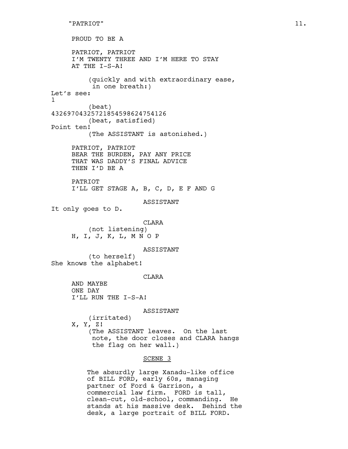PROUD TO BE A PATRIOT, PATRIOT I'M TWENTY THREE AND I'M HERE TO STAY AT THE I-S-A! (quickly and with extraordinary ease, in one breath:) Let's see: 1 (beat) 43269704325721854598624754126 (beat, satisfied) Point ten! (The ASSISTANT is astonished.) PATRIOT, PATRIOT BEAR THE BURDEN, PAY ANY PRICE THAT WAS DADDY'S FINAL ADVICE THEN I'D BE A PATRIOT I'LL GET STAGE A, B, C, D, E F AND G ASSISTANT It only goes to D. CLARA (not listening) H, I, J, K, L, M N O P ASSISTANT (to herself) She knows the alphabet! CLARA AND MAYBE ONE DAY I'LL RUN THE I-S-A! ASSISTANT (irritated) X, Y, Z! (The ASSISTANT leaves. On the last note, the door closes and CLARA hangs the flag on her wall.) SCENE 3 The absurdly large Xanadu-like office

of BILL FORD, early 60s, managing partner of Ford & Garrison, a commercial law firm. FORD is tall, clean-cut, old-school, commanding. He stands at his massive desk. Behind the desk, a large portrait of BILL FORD.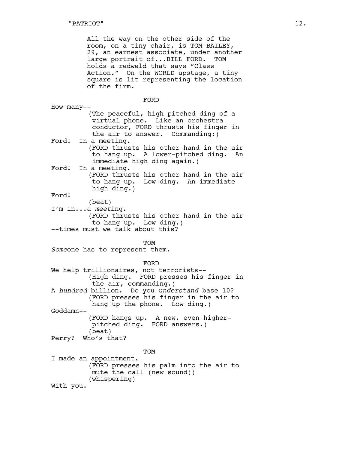All the way on the other side of the room, on a tiny chair, is TOM BAILEY, 29, an earnest associate, under another large portrait of...BILL FORD. TOM holds a redweld that says "Class Action." On the WORLD upstage, a tiny square is lit representing the location of the firm.

FORD How many-- (The peaceful, high-pitched ding of a virtual phone. Like an orchestra conductor, FORD thrusts his finger in the air to answer. Commanding:) Ford! In a meeting. (FORD thrusts his other hand in the air to hang up. A lower-pitched ding. An immediate high ding again.) Ford! In a meeting. (FORD thrusts his other hand in the air to hang up. Low ding. An immediate high ding.) Ford! (beat) I'm in...a *meet*ing. (FORD thrusts his other hand in the air to hang up. Low ding.) --times must we talk about this? TOM *Some*one has to represent them. FORD We help trillionaires, not terrorists-- (High ding. FORD presses his finger in the air, commanding.) A *hundred* billion. Do you *understand* base 10? (FORD presses his finger in the air to hang up the phone. Low ding.) Goddamn-- (FORD hangs up. A new, even higherpitched ding. FORD answers.) (beat) Perry? Who's that? TOM I made an appointment. (FORD presses his palm into the air to mute the call (new sound)) (whispering) With you.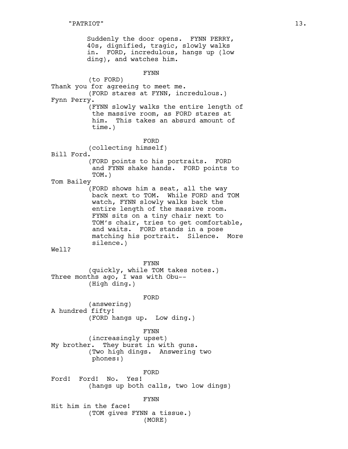Suddenly the door opens. FYNN PERRY, 40s, dignified, tragic, slowly walks in. FORD, incredulous, hangs up (low ding), and watches him. FYNN (to FORD) Thank you for agreeing to meet me. (FORD stares at FYNN, incredulous.) Fynn Perry. (FYNN slowly walks the entire length of the massive room, as FORD stares at him. This takes an absurd amount of time.) FORD (collecting himself) Bill Ford. (FORD points to his portraits. FORD and FYNN shake hands. FORD points to TOM.) Tom Bailey (FORD shows him a seat, all the way back next to TOM. While FORD and TOM watch, FYNN slowly walks back the entire length of the massive room. FYNN sits on a tiny chair next to TOM's chair, tries to get comfortable, and waits. FORD stands in a pose matching his portrait. Silence. More silence.) Well? FYNN (quickly, while TOM takes notes.) Three months ago, I was with Obu-- (High ding.) FORD (answering) A hundred fifty! (FORD hangs up. Low ding.) FYNN (increasingly upset) My brother. They burst in with guns. (Two high dings. Answering two phones:) FORD Ford! Ford! No. Yes! (hangs up both calls, two low dings) FYNN Hit him in the face! (TOM gives FYNN a tissue.)

(MORE)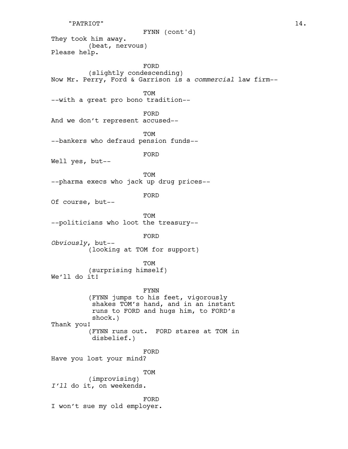```
"PATRIOT" 14.
```
FYNN (cont'd)

They took him away. (beat, nervous) Please help.

FORD (slightly condescending) Now Mr. Perry, Ford & Garrison is a *commercial* law firm-- TOM --with a great pro bono tradition-- FORD And we don't represent accused-- TOM --bankers who defraud pension funds-- FORD Well yes, but-- TOM --pharma execs who jack up drug prices-- FORD Of course, but-- TOM --politicians who loot the treasury-- FORD *Obviously*, but-- (looking at TOM for support) TOM (surprising himself) We'll do it! FYNN (FYNN jumps to his feet, vigorously shakes TOM's hand, and in an instant runs to FORD and hugs him, to FORD's shock.) Thank you! (FYNN runs out. FORD stares at TOM in disbelief.) FORD Have you lost your mind?

TOM

(improvising) *I'll* do it, on weekends.

FORD

I won't sue my old employer.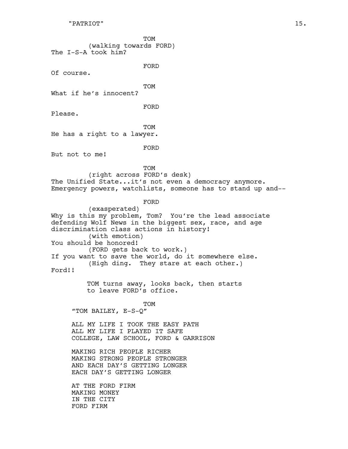TOM (walking towards FORD) The I-S-A took him?

FORD

Of course.

TOM

What if he's innocent?

FORD

Please.

**TOM** 

He has a right to a lawyer.

FORD

But not to me!

TOM (right across FORD's desk) The Unified State...it's not even a democracy anymore. Emergency powers, watchlists, someone has to stand up and--

FORD

(exasperated) Why is this my problem, Tom? You're the lead associate defending Wolf News in the biggest sex, race, and age discrimination class actions in history! (with emotion) You should be honored! (FORD gets back to work.) If you want to save the world, do it somewhere else. (High ding. They stare at each other.) Ford!!

> TOM turns away, looks back, then starts to leave FORD's office.

**TOM** "TOM BAILEY, E-S-Q"

ALL MY LIFE I TOOK THE EASY PATH ALL MY LIFE I PLAYED IT SAFE COLLEGE, LAW SCHOOL, FORD & GARRISON

MAKING RICH PEOPLE RICHER MAKING STRONG PEOPLE STRONGER AND EACH DAY'S GETTING LONGER EACH DAY'S GETTING LONGER

AT THE FORD FIRM MAKING MONEY IN THE CITY FORD FIRM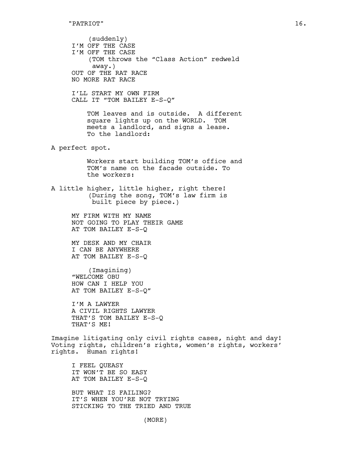(suddenly) I'M OFF THE CASE I'M OFF THE CASE (TOM throws the "Class Action" redweld away.) OUT OF THE RAT RACE NO MORE RAT RACE I'LL START MY OWN FIRM CALL IT "TOM BAILEY E-S-Q" TOM leaves and is outside. A different square lights up on the WORLD. TOM meets a landlord, and signs a lease. To the landlord: A perfect spot. Workers start building TOM's office and TOM's name on the facade outside. To the workers: A little higher, little higher, right there! (During the song, TOM's law firm is built piece by piece.) MY FIRM WITH MY NAME NOT GOING TO PLAY THEIR GAME AT TOM BAILEY E-S-Q MY DESK AND MY CHAIR I CAN BE ANYWHERE AT TOM BAILEY E-S-Q (Imagining) "WELCOME OBU HOW CAN I HELP YOU AT TOM BAILEY E-S-Q" I'M A LAWYER A CIVIL RIGHTS LAWYER THAT'S TOM BAILEY E-S-Q THAT'S ME! Imagine litigating only civil rights cases, night and day! Voting rights, children's rights, women's rights, workers' rights. Human rights! I FEEL QUEASY IT WON'T BE SO EASY AT TOM BAILEY E-S-Q

BUT WHAT IS FAILING? IT'S WHEN YOU'RE NOT TRYING STICKING TO THE TRIED AND TRUE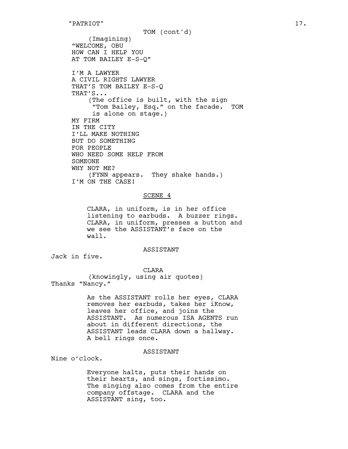(Imagining) "WELCOME, OBU HOW CAN I HELP YOU AT TOM BAILEY E-S-Q" I'M A LAWYER A CIVIL RIGHTS LAWYER THAT'S TOM BAILEY E-S-Q THAT'S... (The office is built, with the sign "Tom Bailey, Esq." on the facade. TOM is alone on stage.) MY FIRM IN THE CITY I'LL MAKE NOTHING BUT DO SOMETHING FOR PEOPLE WHO NEED SOME HELP FROM SOMEONE WHY NOT ME? (FYNN appears. They shake hands.) I'M ON THE CASE! TOM (cont'd)

# SCENE 4

CLARA, in uniform, is in her office listening to earbuds. A buzzer rings. CLARA, in uniform, presses a button and we see the ASSISTANT's face on the wall.

# ASSISTANT

Jack in five.

CLARA

(knowingly, using air quotes) Thanks "Nancy."

> As the ASSISTANT rolls her eyes, CLARA removes her earbuds, takes her iKnow, leaves her office, and joins the ASSISTANT. As numerous ISA AGENTS run about in different directions, the ASSISTANT leads CLARA down a hallway. A bell rings once.

# ASSISTANT

Nine o'clock.

Everyone halts, puts their hands on their hearts, and sings, fortissimo. The singing also comes from the entire company offstage. CLARA and the ASSISTANT sing, too.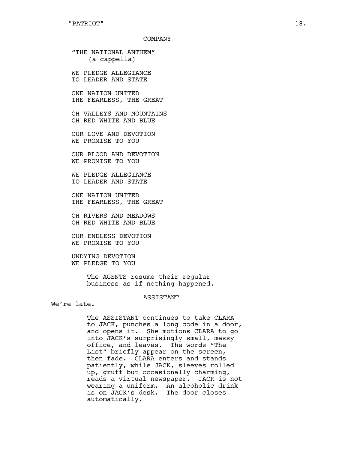"THE NATIONAL ANTHEM" (a cappella)

WE PLEDGE ALLEGIANCE TO LEADER AND STATE

ONE NATION UNITED THE FEARLESS, THE GREAT

OH VALLEYS AND MOUNTAINS OH RED WHITE AND BLUE

OUR LOVE AND DEVOTION WE PROMISE TO YOU

OUR BLOOD AND DEVOTION WE PROMISE TO YOU

WE PLEDGE ALLEGIANCE TO LEADER AND STATE

ONE NATION UNITED THE FEARLESS, THE GREAT

OH RIVERS AND MEADOWS OH RED WHITE AND BLUE

OUR ENDLESS DEVOTION WE PROMISE TO YOU

UNDYING DEVOTION WE PLEDGE TO YOU

> The AGENTS resume their regular business as if nothing happened.

### ASSISTANT

We're late.

The ASSISTANT continues to take CLARA to JACK, punches a long code in a door, and opens it. She motions CLARA to go into JACK's surprisingly small, messy office, and leaves. The words "The List" briefly appear on the screen, then fade. CLARA enters and stands patiently, while JACK, sleeves rolled up, gruff but occasionally charming, reads a virtual newspaper. JACK is not wearing a uniform. An alcoholic drink is on JACK's desk. The door closes automatically.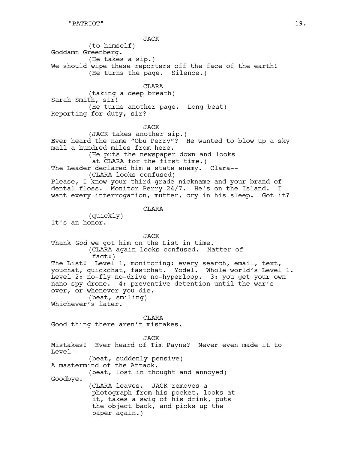JACK (to himself) Goddamn Greenberg. (He takes a sip.) We should wipe these reporters off the face of the earth! (He turns the page. Silence.) CLARA (taking a deep breath) Sarah Smith, sir! (He turns another page. Long beat) Reporting for duty, sir? JACK (JACK takes another sip.) Ever heard the name "Obu Perry"? He wanted to blow up a sky mall a hundred miles from here. (He puts the newspaper down and looks

at CLARA for the first time.) The Leader declared him a state enemy. Clara--(CLARA looks confused) Please, I know your third grade nickname and your brand of dental floss. Monitor Perry 24/7. He's on the Island. I

want every interrogation, mutter, cry in his sleep. Got it?

CLARA

(quickly) It's an honor.

JACK Thank *God* we got him on the List in time. (CLARA again looks confused. Matter of fact:) The List! Level 1, monitoring: every search, email, text, youchat, quickchat, fastchat. Yodel. Whole world's Level 1. Level 2: no-fly no-drive no-hyperloop. 3: you get your own nano-spy drone. 4: preventive detention until the war's over, or whenever you die. (beat, smiling)

Whichever's later.

CLARA

Good thing there aren't mistakes.

JACK Mistakes! Ever heard of Tim Payne? Never even made it to Level-- (beat, suddenly pensive) A mastermind of the Attack. (beat, lost in thought and annoyed) Goodbye. (CLARA leaves. JACK removes a photograph from his pocket, looks at it, takes a swig of his drink, puts the object back, and picks up the paper again.)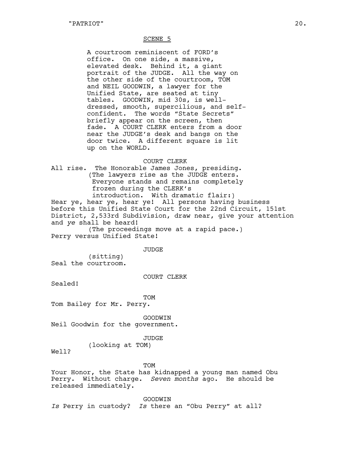#### SCENE 5

A courtroom reminiscent of FORD's office. On one side, a massive, elevated desk. Behind it, a giant portrait of the JUDGE. All the way on the other side of the courtroom, TOM and NEIL GOODWIN, a lawyer for the Unified State, are seated at tiny tables. GOODWIN, mid 30s, is welldressed, smooth, supercilious, and selfconfident. The words "State Secrets" briefly appear on the screen, then fade. A COURT CLERK enters from a door near the JUDGE's desk and bangs on the door twice. A different square is lit up on the WORLD.

#### COURT CLERK

All rise. The Honorable James Jones, presiding. (The lawyers rise as the JUDGE enters. Everyone stands and remains completely frozen during the CLERK's introduction. With dramatic flair:)

Hear ye, hear ye, hear ye! All persons having business before this Unified State Court for the 22nd Circuit, 151st District, 2,533rd Subdivision, draw near, give your attention and *ye* shall be heard!

(The proceedings move at a rapid pace.) Perry versus Unified State!

JUDGE

(sitting) Seal the courtroom.

COURT CLERK

Sealed!

#### TOM

Tom Bailey for Mr. Perry.

GOODWIN

Neil Goodwin for the government.

#### JUDGE

(looking at TOM)

Well?

#### TOM

Your Honor, the State has kidnapped a young man named Obu Perry. Without charge. *Seven months* ago. He should be released immediately.

GOODWIN

*Is* Perry in custody? *Is* there an "Obu Perry" at all?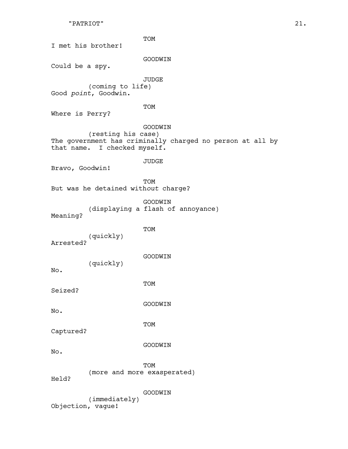# "PATRIOT" 21.

TOM I met his brother! GOODWIN Could be a spy. JUDGE (coming to life) Good *point*, Goodwin. TOM Where is Perry? GOODWIN (resting his case) The government has criminally charged no person at all by that name. I checked myself. JUDGE Bravo, Goodwin! TOM But was he detained with*out* charge? GOODWIN (displaying a flash of annoyance) Meaning? TOM (quickly) Arrested? GOODWIN (quickly) No. TOM Seized? GOODWIN No. TOM Captured? GOODWIN No. TOM (more and more exasperated) Held? GOODWIN (immediately) Objection, vague!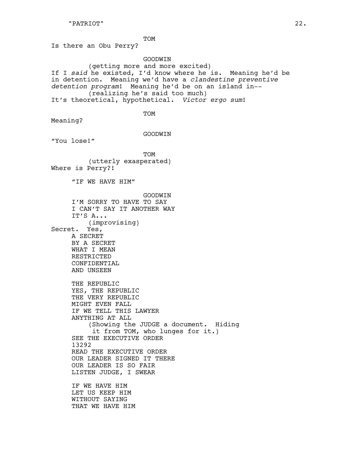TOM

Is there an Obu Perry?

# GOODWIN

(getting more and more excited) If I *said* he existed, I'd know where he is. Meaning he'd be in detention. Meaning we'd have a *clandestine preventive detention program*! Meaning he'd be on an island in-- (realizing he's said too much) It's theoretical, hypothetical. *Victor ergo sum*!

TOM

Meaning?

GOODWIN

"You lose!"

TOM (utterly exasperated) Where is Perry?!

"IF WE HAVE HIM"

**GOODWIN** I'M SORRY TO HAVE TO SAY I CAN'T SAY IT ANOTHER WAY IT'S A... (improvising) Secret. Yes, A SECRET BY A SECRET WHAT I MEAN RESTRICTED CONFIDENTIAL AND UNSEEN THE REPUBLIC YES, THE REPUBLIC THE VERY REPUBLIC MIGHT EVEN FALL IF WE TELL THIS LAWYER ANYTHING AT ALL (Showing the JUDGE a document. Hiding it from TOM, who lunges for it.) SEE THE EXECUTIVE ORDER 13292 READ THE EXECUTIVE ORDER OUR LEADER SIGNED IT THERE OUR LEADER IS SO FAIR LISTEN JUDGE, I SWEAR IF WE HAVE HIM

LET US KEEP HIM WITHOUT SAYING THAT WE HAVE HIM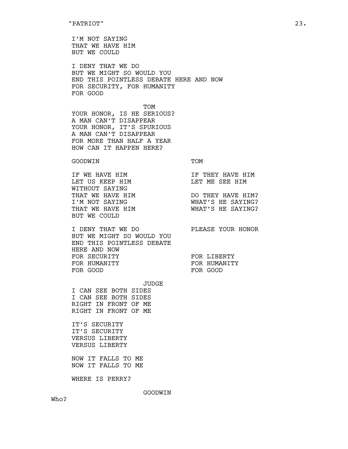I'M NOT SAYING THAT WE HAVE HIM BUT WE COULD

I DENY THAT WE DO BUT WE MIGHT SO WOULD YOU END THIS POINTLESS DEBATE HERE AND NOW FOR SECURITY, FOR HUMANITY FOR GOOD

TOM YOUR HONOR, IS HE SERIOUS? A MAN CAN'T DISAPPEAR YOUR HONOR, IT'S SPURIOUS A MAN CAN'T DISAPPEAR FOR MORE THAN HALF A YEAR HOW CAN IT HAPPEN HERE?

#### GOODWIN TOM

| TF WF HAVF HTM   | IF THEY HAVE HIM  |
|------------------|-------------------|
| LET US KEEP HTM  | T.E.T ME SEE HTM  |
| WTTHOUT SAYING   |                   |
| THAT WE HAVE HIM | DO THEY HAVE HIM? |
| T'M NOT SAYING   | WHAT'S HE SAYING? |
| THAT WE HAVE HIM | WHAT'S HE SAYING? |
| BUT WE COULD     |                   |
|                  |                   |

I DENY THAT WE DO PLEASE YOUR HONOR BUT WE MIGHT SO WOULD YOU END THIS POINTLESS DEBATE HERE AND NOW FOR SECURITY FOR LIBERTY FOR HUMANITY **FOR HUMANITY** FOR GOOD FOR GOOD

JUDGE

I CAN SEE BOTH SIDES I CAN SEE BOTH SIDES RIGHT IN FRONT OF ME RIGHT IN FRONT OF ME

IT'S SECURITY IT'S SECURITY VERSUS LIBERTY VERSUS LIBERTY

NOW IT FALLS TO ME NOW IT FALLS TO ME

WHERE IS PERRY?

GOODWIN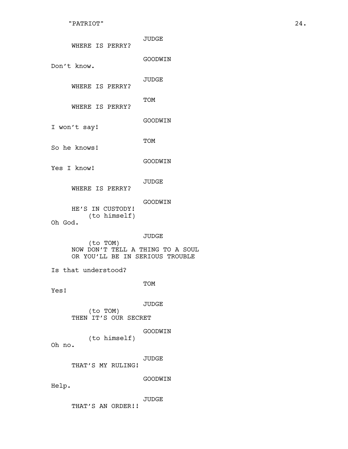| WHERE IS PERRY?                                                                 | <b>JUDGE</b> |  |
|---------------------------------------------------------------------------------|--------------|--|
| Don't know.                                                                     | GOODWIN      |  |
| WHERE IS PERRY?                                                                 | <b>JUDGE</b> |  |
| WHERE IS PERRY?                                                                 | TOM          |  |
| I won't say!                                                                    | GOODWIN      |  |
| So he knows!                                                                    | TOM          |  |
| Yes I know!                                                                     | GOODWIN      |  |
| WHERE IS PERRY?                                                                 | <b>JUDGE</b> |  |
| HE'S IN CUSTODY!<br>(to himself)<br>Oh God.                                     | GOODWIN      |  |
| (to TOM)<br>NOW DON'T TELL A THING TO A SOUL<br>OR YOU'LL BE IN SERIOUS TROUBLE | JUDGE        |  |
| Is that understood?                                                             |              |  |
| Yes!                                                                            | TOM          |  |
| (to TOM)<br>THEN IT'S OUR SECRET                                                | <b>JUDGE</b> |  |
| (to himself)<br>Oh no.                                                          | GOODWIN      |  |
| THAT'S MY RULING!                                                               | <b>JUDGE</b> |  |
| Help.                                                                           | GOODWIN      |  |
|                                                                                 | JUDGE        |  |

THAT'S AN ORDER!!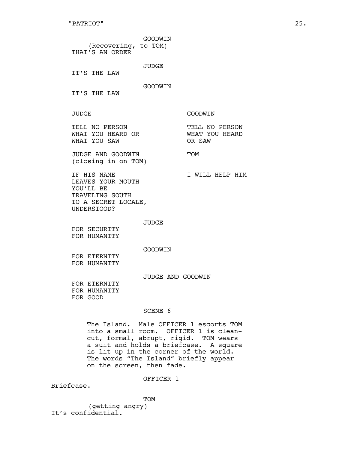| (Recovering, to TOM)<br>THAT'S AN ORDER                                                                | GOODWIN      |                                            |
|--------------------------------------------------------------------------------------------------------|--------------|--------------------------------------------|
| TT'S THE LAW                                                                                           | <b>JUDGE</b> |                                            |
| IT'S THE LAW                                                                                           | GOODWIN      |                                            |
| <b>JUDGE</b>                                                                                           |              | GOODWIN                                    |
| TELL NO PERSON<br>WHAT YOU HEARD OR<br>WHAT YOU SAW                                                    |              | TELL NO PERSON<br>WHAT YOU HEARD<br>OR SAW |
| JUDGE AND GOODWIN<br>(closing in on TOM)                                                               |              | <b>TOM</b>                                 |
| TF HTS NAME<br>LEAVES YOUR MOUTH<br>YOU'LL BE<br>TRAVELING SOUTH<br>TO A SECRET LOCALE,<br>UNDERSTOOD? |              | T WILL HELP HIM                            |
| FOR SECURITY<br>FOR HUMANITY                                                                           | JUDGE        |                                            |
|                                                                                                        | GOODWIN      |                                            |

FOR ETERNITY FOR HUMANITY

JUDGE AND GOODWIN

FOR ETERNITY FOR HUMANITY FOR GOOD

# SCENE 6

The Island. Male OFFICER 1 escorts TOM into a small room. OFFICER 1 is cleancut, formal, abrupt, rigid. TOM wears a suit and holds a briefcase. A square is lit up in the corner of the world. The words "The Island" briefly appear on the screen, then fade.

OFFICER 1

Briefcase.

TOM

(getting angry) It's confidential.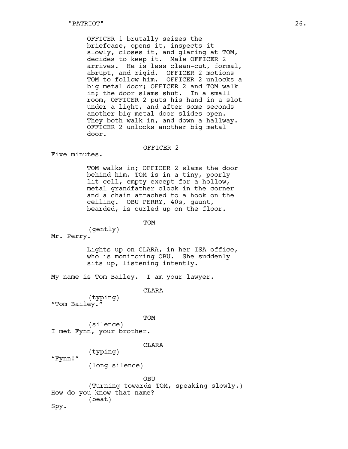OFFICER 1 brutally seizes the briefcase, opens it, inspects it slowly, closes it, and glaring at TOM, decides to keep it. Male OFFICER 2 arrives. He is less clean-cut, formal, abrupt, and rigid. OFFICER 2 motions TOM to follow him. OFFICER 2 unlocks a big metal door; OFFICER 2 and TOM walk in; the door slams shut. In a small room, OFFICER 2 puts his hand in a slot under a light, and after some seconds another big metal door slides open. They both walk in, and down a hallway. OFFICER 2 unlocks another big metal door.

#### OFFICER 2

Five minutes.

TOM walks in; OFFICER 2 slams the door behind him. TOM is in a tiny, poorly lit cell, empty except for a hollow, metal grandfather clock in the corner and a chain attached to a hook on the ceiling. OBU PERRY, 40s, gaunt, bearded, is curled up on the floor.

TOM

(gently) Mr. Perry.

> Lights up on CLARA, in her ISA office, who is monitoring OBU. She suddenly sits up, listening intently.

My name is Tom Bailey. I am your lawyer.

CLARA

(typing) "Tom Bailey."

TOM

(silence) I met Fynn, your brother.

(typing)

#### CLARA

"Fynn!"

(long silence)

OBU (Turning towards TOM, speaking slowly.) How do you know that name? (beat) Spy.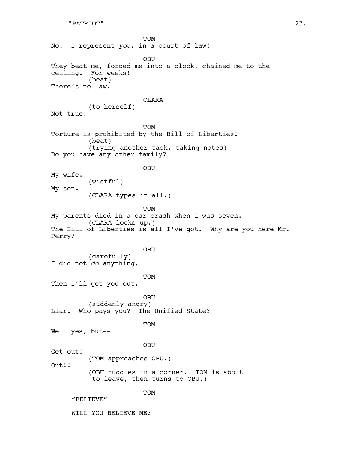TOM No! I represent *you*, in a court of law! OBU They beat me, forced me into a clock, chained me to the ceiling. For weeks! (beat) There's no law. CLARA (to herself) Not true. TOM Torture is prohibited by the Bill of Liberties! (beat) (trying another tack, taking notes) Do you have any other family? OBU My wife. (wistful) My son. (CLARA types it all.) TOM My parents died in a car crash when I was seven. (CLARA looks up.) The Bill of Liberties is all I've got. Why are you here Mr. Perry? OBU (carefully) I did not *do* anything. TOM Then I'll get you out. OBU (suddenly angry) Liar. Who pays you? The Unified State? TOM Well yes, but-- OBU Get out! (TOM approaches OBU.) Out!! (OBU huddles in a corner. TOM is about to leave, then turns to OBU.) TOM "BELIEVE" WILL YOU BELIEVE ME?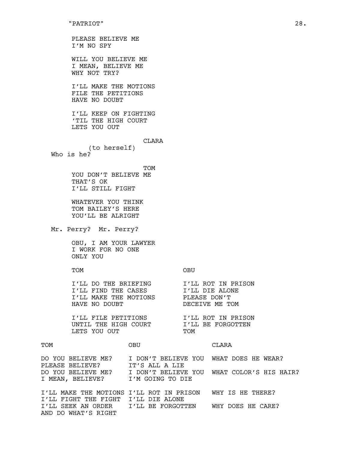AND DO WHAT'S RIGHT

PLEASE BELIEVE ME I'M NO SPY WILL YOU BELIEVE ME I MEAN, BELIEVE ME WHY NOT TRY? I'LL MAKE THE MOTIONS FILE THE PETITIONS HAVE NO DOUBT I'LL KEEP ON FIGHTING 'TIL THE HIGH COURT LETS YOU OUT CLARA (to herself) Who is he? **TOM** YOU DON'T BELIEVE ME THAT'S OK I'LL STILL FIGHT WHATEVER YOU THINK TOM BAILEY'S HERE YOU'LL BE ALRIGHT Mr. Perry? Mr. Perry? OBU, I AM YOUR LAWYER I WORK FOR NO ONE ONLY YOU TOM OBU I'LL DO THE BRIEFING I'LL ROT IN PRISON I'LL FIND THE CASES I'LL DIE ALONE I'LL MAKE THE MOTIONS PLEASE DON'T HAVE NO DOUBT DECEIVE ME TOM I'LL FILE PETITIONS I'LL ROT IN PRISON<br>UNTIL THE HIGH COURT I'LL BE FORGOTTEN UNTIL THE HIGH COURT LETS YOU OUT TOM TOM OBU CLARA DO YOU BELIEVE ME? I DON'T BELIEVE YOU WHAT DOES HE WEAR? PLEASE BELIEVE? IT'S ALL A LIE DO YOU BELIEVE ME? I DON'T BELIEVE YOU WHAT COLOR'S HIS HAIR? I MEAN, BELIEVE? I'M GOING TO DIE I'LL MAKE THE MOTIONS I'LL ROT IN PRISON WHY IS HE THERE? I'LL FIGHT THE FIGHT I'LL DIE ALONE I'LL SEEK AN ORDER I'LL BE FORGOTTEN WHY DOES HE CARE?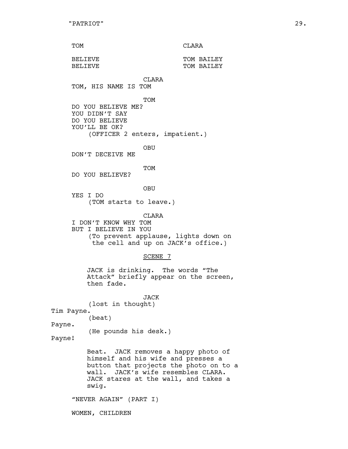| TOM | CLARA |
|-----|-------|
|     |       |

| BELIEVE | TOM BATLEY |
|---------|------------|
|         |            |
| BELIEVE | TOM BATLEY |
|         |            |

CLARA

TOM, HIS NAME IS TOM

TOM

DO YOU BELIEVE ME? YOU DIDN'T SAY DO YOU BELIEVE YOU'LL BE OK? (OFFICER 2 enters, impatient.)

OBU

DON'T DECEIVE ME

TOM

DO YOU BELIEVE?

OBU

YES I DO (TOM starts to leave.)

CLARA

I DON'T KNOW WHY TOM BUT I BELIEVE IN YOU (To prevent applause, lights down on the cell and up on JACK's office.)

## SCENE 7

JACK is drinking. The words "The Attack" briefly appear on the screen, then fade.

JACK (lost in thought) Tim Payne. (beat) Payne. (He pounds his desk.) Payne!

> Beat. JACK removes a happy photo of himself and his wife and presses a button that projects the photo on to a wall. JACK's wife resembles CLARA. JACK stares at the wall, and takes a swig.

"NEVER AGAIN" (PART I)

WOMEN, CHILDREN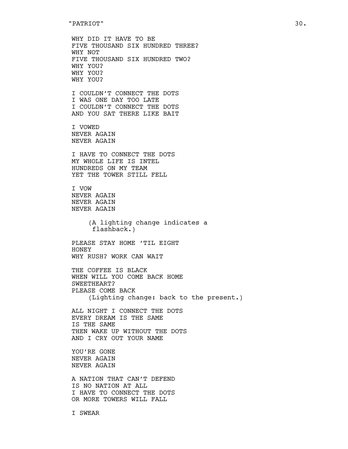WHY DID IT HAVE TO BE FIVE THOUSAND SIX HUNDRED THREE? WHY NOT FIVE THOUSAND SIX HUNDRED TWO? WHY YOU? WHY YOU? WHY YOU? I COULDN'T CONNECT THE DOTS I WAS ONE DAY TOO LATE I COULDN'T CONNECT THE DOTS AND YOU SAT THERE LIKE BAIT I VOWED NEVER AGAIN NEVER AGAIN I HAVE TO CONNECT THE DOTS MY WHOLE LIFE IS INTEL HUNDREDS ON MY TEAM YET THE TOWER STILL FELL I VOW NEVER AGAIN NEVER AGAIN NEVER AGAIN (A lighting change indicates a flashback.) PLEASE STAY HOME 'TIL EIGHT HONEY WHY RUSH? WORK CAN WAIT THE COFFEE IS BLACK WHEN WILL YOU COME BACK HOME SWEETHEART? PLEASE COME BACK (Lighting change: back to the present.) ALL NIGHT I CONNECT THE DOTS EVERY DREAM IS THE SAME IS THE SAME THEN WAKE UP WITHOUT THE DOTS AND I CRY OUT YOUR NAME YOU'RE GONE NEVER AGAIN NEVER AGAIN A NATION THAT CAN'T DEFEND IS NO NATION AT ALL

I HAVE TO CONNECT THE DOTS OR MORE TOWERS WILL FALL

I SWEAR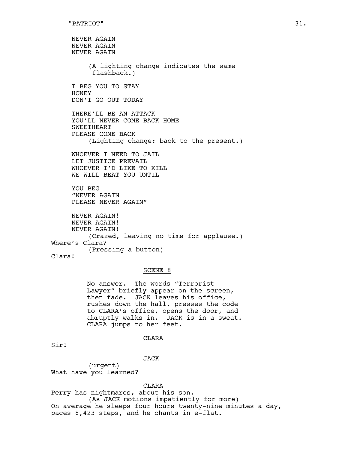NEVER AGAIN NEVER AGAIN NEVER AGAIN (A lighting change indicates the same flashback.) I BEG YOU TO STAY HONEY DON'T GO OUT TODAY THERE'LL BE AN ATTACK YOU'LL NEVER COME BACK HOME SWEETHEART PLEASE COME BACK (Lighting change: back to the present.) WHOEVER I NEED TO JAIL LET JUSTICE PREVAIL WHOEVER I'D LIKE TO KILL WE WILL BEAT YOU UNTIL YOU BEG "NEVER AGAIN PLEASE NEVER AGAIN" NEVER AGAIN! NEVER AGAIN! NEVER AGAIN! (Crazed, leaving no time for applause.) Where's Clara? (Pressing a button) Clara!

#### SCENE 8

No answer. The words "Terrorist Lawyer" briefly appear on the screen, then fade. JACK leaves his office, rushes down the hall, presses the code to CLARA's office, opens the door, and abruptly walks in. JACK is in a sweat. CLARA jumps to her feet.

#### CLARA

Sir!

JACK

(urgent) What have you learned?

#### CLARA

Perry has nightmares, about his son. (As JACK motions impatiently for more) On average he sleeps four hours twenty-nine minutes a day, paces 8,423 steps, and he chants in e-flat.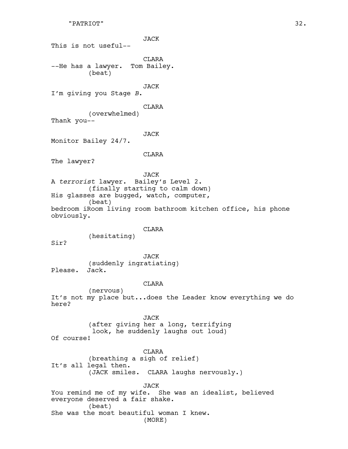```
"PATRIOT" 32.
```
JACK This is not useful-- CLARA --He has a lawyer. Tom Bailey. (beat) JACK I'm giving you Stage *B*. CLARA (overwhelmed) Thank you-- JACK Monitor Bailey 24/7. CLARA The lawyer? JACK A *terrorist* lawyer. Bailey's Level 2. (finally starting to calm down) His glasses are bugged, watch, computer, (beat) bedroom iRoom living room bathroom kitchen office, his phone obviously. **CLARA** (hesitating) Sir? JACK (suddenly ingratiating) Please. Jack. CLARA (nervous) It's not my place but...does the Leader know everything we do here? JACK (after giving her a long, terrifying look, he suddenly laughs out loud) Of course! CLARA (breathing a sigh of relief) It's all legal then. (JACK smiles. CLARA laughs nervously.) JACK You remind me of my wife. She was an idealist, believed everyone deserved a fair shake. (beat) She was the most beautiful woman I knew.

(MORE)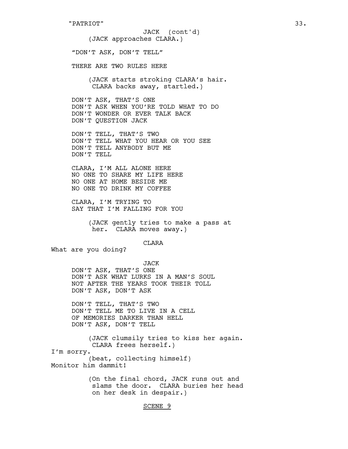(JACK approaches CLARA.) "DON'T ASK, DON'T TELL" THERE ARE TWO RULES HERE (JACK starts stroking CLARA's hair. CLARA backs away, startled.) DON'T ASK, THAT'S ONE DON'T ASK WHEN YOU'RE TOLD WHAT TO DO DON'T WONDER OR EVER TALK BACK DON'T QUESTION JACK DON'T TELL, THAT'S TWO DON'T TELL WHAT YOU HEAR OR YOU SEE DON'T TELL ANYBODY BUT ME DON'T TELL JACK (cont'd)

CLARA, I'M ALL ALONE HERE NO ONE TO SHARE MY LIFE HERE NO ONE AT HOME BESIDE ME NO ONE TO DRINK MY COFFEE

CLARA, I'M TRYING TO SAY THAT I'M FALLING FOR YOU

> (JACK gently tries to make a pass at her. CLARA moves away.)

> > CLARA

What are you doing?

JACK DON'T ASK, THAT'S ONE DON'T ASK WHAT LURKS IN A MAN'S SOUL NOT AFTER THE YEARS TOOK THEIR TOLL DON'T ASK, DON'T ASK

DON'T TELL, THAT'S TWO DON'T TELL ME TO LIVE IN A CELL OF MEMORIES DARKER THAN HELL DON'T ASK, DON'T TELL

(JACK clumsily tries to kiss her again. CLARA frees herself.) I'm sorry. (beat, collecting himself) Monitor him dammit! (On the final chord, JACK runs out and

slams the door. CLARA buries her head on her desk in despair.)

# SCENE 9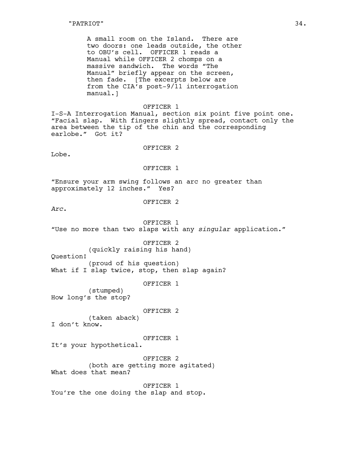A small room on the Island. There are two doors: one leads outside, the other to OBU's cell. OFFICER 1 reads a Manual while OFFICER 2 chomps on a massive sandwich. The words "The Manual" briefly appear on the screen, then fade. [The excerpts below are from the CIA's post-9/11 interrogation manual.]

#### OFFICER 1

I-S-A Interrogation Manual, section six point five point one. "Facial slap. With fingers slightly spread, contact only the area between the tip of the chin and the corresponding earlobe." Got it?

#### OFFICER 2

Lobe.

## OFFICER 1

"Ensure your arm swing follows an arc no greater than approximately 12 inches." Yes?

OFFICER 2

*Arc*.

OFFICER 1 "Use no more than two slaps with any *singular* application."

OFFICER 2

(quickly raising his hand)

Question!

(proud of his question) What if I slap twice, stop, then slap again?

OFFICER 1

(stumped) How long's the stop?

OFFICER 2

(taken aback) I don't know.

#### OFFICER 1

It's your hypothetical.

OFFICER 2 (both are getting more agitated) What does that mean?

OFFICER 1 You're the one doing the slap and stop.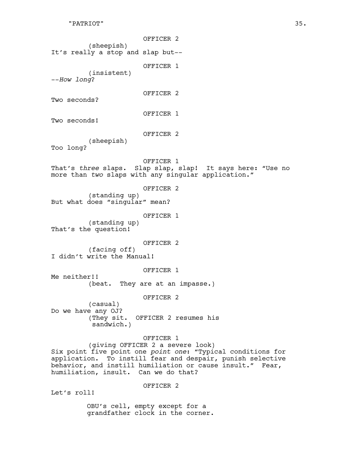## "PATRIOT" 35.

OFFICER 2 (sheepish) It's really a stop and slap but-- OFFICER 1 (insistent) --*How long*? OFFICER 2 Two seconds? OFFICER 1 Two seconds! OFFICER 2 (sheepish) Too long? OFFICER 1 That's *three* slaps. Slap slap, slap! It says here: "Use no more than *two* slaps with any singular application." OFFICER 2 (standing up) But what does "singular" mean? OFFICER 1 (standing up) That's the question! OFFICER 2 (facing off) I didn't write the Manual! OFFICER 1 Me neither!! (beat. They are at an impasse.) OFFICER 2 (casual) Do we have any OJ? (They sit. OFFICER 2 resumes his sandwich.) OFFICER 1 (giving OFFICER 2 a severe look) Six point five point one *point one*: "Typical conditions for

application. To instill fear and despair, punish selective behavior, and instill humiliation or cause insult." Fear, humiliation, insult. Can we do that?

OFFICER 2

Let's roll!

OBU's cell, empty except for a grandfather clock in the corner.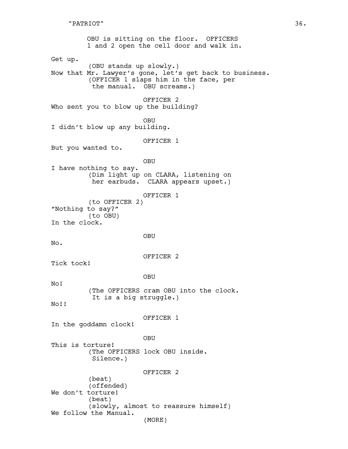OBU is sitting on the floor. OFFICERS 1 and 2 open the cell door and walk in. Get up. (OBU stands up slowly.) Now that Mr. Lawyer's gone, let's get back to business. (OFFICER 1 slaps him in the face, per the manual. OBU screams.) OFFICER 2 Who sent you to blow up the building? OBU I didn't blow up any building. OFFICER 1 But you wanted to. OBU I have nothing to say. (Dim light up on CLARA, listening on her earbuds. CLARA appears upset.) OFFICER 1 (to OFFICER 2) "Nothing to say?" (to OBU) In the clock. OBU No. OFFICER 2 Tick tock! OBU No! (The OFFICERS cram OBU into the clock. It is a big struggle.) No!! OFFICER 1 In the goddamn clock! OBU This is torture! (The OFFICERS lock OBU inside. Silence.) OFFICER 2 (beat) (offended) We don't torture! (beat) (slowly, almost to reassure himself) We follow the Manual. (MORE)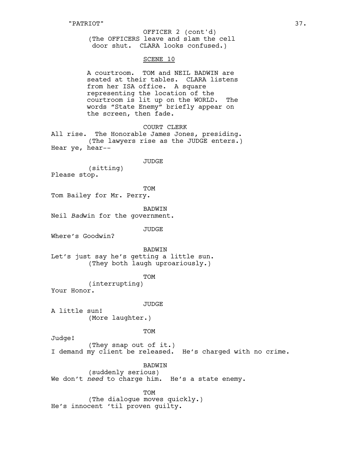(The OFFICERS leave and slam the cell door shut. CLARA looks confused.) OFFICER 2 (cont'd)

# SCENE 10

A courtroom. TOM and NEIL BADWIN are seated at their tables. CLARA listens from her ISA office. A square representing the location of the courtroom is lit up on the WORLD. The words "State Enemy" briefly appear on the screen, then fade.

COURT CLERK

All rise. The Honorable James Jones, presiding. (The lawyers rise as the JUDGE enters.) Hear ye, hear--

JUDGE

(sitting) Please stop.

TOM

Tom Bailey for Mr. Perry.

BADWIN

Neil *Bad*win for the government.

JUDGE

Where's Goodwin?

BADWIN

Let's just say he's getting a little sun. (They both laugh uproariously.)

TOM

(interrupting) Your Honor.

#### **JUDGE**

A little sun! (More laughter.)

TOM

Judge!

(They snap out of it.) I demand my client be released. He's charged with no crime.

BADWIN

(suddenly serious) We don't *need* to charge him. He's a state enemy.

TOM

(The dialogue moves quickly.) He's innocent 'til proven guilty.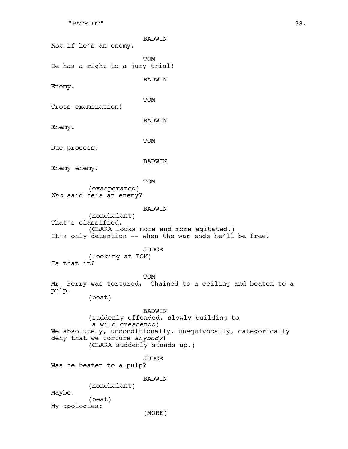```
"PATRIOT" 38.
```

| Not if he's an enemy.                              | BADWIN                                                                                                                                                 |
|----------------------------------------------------|--------------------------------------------------------------------------------------------------------------------------------------------------------|
| He has a right to a jury trial!                    | TOM                                                                                                                                                    |
| Enemy.                                             | <b>BADWIN</b>                                                                                                                                          |
| Cross-examination!                                 | TOM                                                                                                                                                    |
| Enemy!                                             | BADWIN                                                                                                                                                 |
| Due process!                                       | TOM                                                                                                                                                    |
| Enemy enemy!                                       | BADWIN                                                                                                                                                 |
| (exasperated)<br>Who said he's an enemy?           | TOM                                                                                                                                                    |
| (nonchalant)<br>That's classified.                 | <b>BADWIN</b><br>(CLARA looks more and more agitated.)<br>It's only detention -- when the war ends he'll be free!                                      |
| (looking at TOM)<br>Is that it?                    | JUDGE                                                                                                                                                  |
| Mr. Perry was tortured.<br>pulp.<br>(beat)         | TOM<br>Chained to a ceiling and beaten to a                                                                                                            |
| a wild crescendo)<br>deny that we torture anybody! | <b>BADWIN</b><br>(suddenly offended, slowly building to<br>We absolutely, unconditionally, unequivocally, categorically<br>(CLARA suddenly stands up.) |
| Was he beaten to a pulp?                           | JUDGE                                                                                                                                                  |
| (nonchalant)<br>Maybe.<br>(beat)<br>My apologies:  | <b>BADWIN</b><br>(MORE)                                                                                                                                |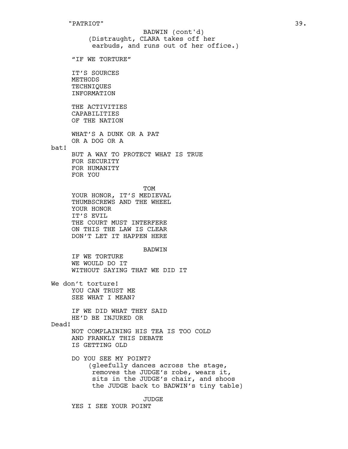(Distraught, CLARA takes off her earbuds, and runs out of her office.) "IF WE TORTURE" IT'S SOURCES METHODS TECHNIQUES INFORMATION THE ACTIVITIES CAPABILITIES OF THE NATION WHAT'S A DUNK OR A PAT OR A DOG OR A bat! BUT A WAY TO PROTECT WHAT IS TRUE FOR SECURITY FOR HUMANITY FOR YOU **TOM** YOUR HONOR, IT'S MEDIEVAL THUMBSCREWS AND THE WHEEL YOUR HONOR IT'S EVIL THE COURT MUST INTERFERE ON THIS THE LAW IS CLEAR DON'T LET IT HAPPEN HERE BADWIN IF WE TORTURE WE WOULD DO IT WITHOUT SAYING THAT WE DID IT We don't torture! YOU CAN TRUST ME SEE WHAT I MEAN? IF WE DID WHAT THEY SAID HE'D BE INJURED OR Dead! NOT COMPLAINING HIS TEA IS TOO COLD AND FRANKLY THIS DEBATE IS GETTING OLD DO YOU SEE MY POINT? (gleefully dances across the stage, removes the JUDGE's robe, wears it, sits in the JUDGE's chair, and shoos the JUDGE back to BADWIN's tiny table) BADWIN (cont'd)

JUDGE

YES I SEE YOUR POINT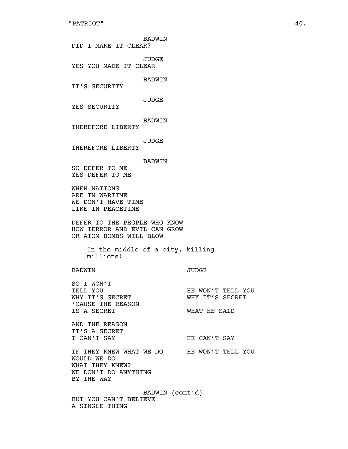BADWIN DID I MAKE IT CLEAR? JUDGE YES YOU MADE IT CLEAR BADWIN IT'S SECURITY JUDGE YES SECURITY BADWIN THEREFORE LIBERTY JUDGE THEREFORE LIBERTY BADWIN SO DEFER TO ME YES DEFER TO ME WHEN NATIONS ARE IN WARTIME WE DON'T HAVE TIME LIKE IN PEACETIME DEFER TO THE PEOPLE WHO KNOW HOW TERROR AND EVIL CAN GROW OR ATOM BOMBS WILL BLOW In the middle of a city, killing millions! BADWIN JUDGE SO I WON'T TELL YOU **HE WON'T TELL YOU** WHY IT'S SECRET WHY IT'S SECRET 'CAUSE THE REASON IS A SECRET WHAT HE SAID AND THE REASON IT'S A SECRET I CAN'T SAY FRIE CAN'T SAY IF THEY KNEW WHAT WE DO HE WON'T TELL YOU WOULD WE DO WHAT THEY KNEW? WE DON'T DO ANYTHING BY THE WAY BADWIN (cont'd)

BUT YOU CAN'T BELIEVE A SINGLE THING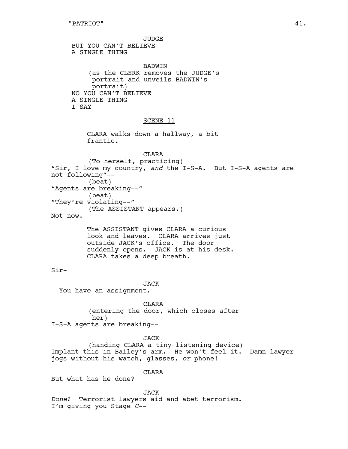JUDGE BUT YOU CAN'T BELIEVE A SINGLE THING

BADWIN (as the CLERK removes the JUDGE's portrait and unveils BADWIN's portrait) NO YOU CAN'T BELIEVE A SINGLE THING I SAY

#### SCENE 11

CLARA walks down a hallway, a bit frantic.

CLARA (To herself, practicing) "Sir, I love my country, *and* the I-S-A. But I-S-A agents are not following"-- (beat) "Agents are breaking--" (beat) "They're violating--" (The ASSISTANT appears.) Not now.

The ASSISTANT gives CLARA a curious look and leaves. CLARA arrives just outside JACK's office. The door suddenly opens. JACK is at his desk. CLARA takes a deep breath.

 $Sir-$ 

### JACK

--You have an assignment.

**CLARA** (entering the door, which closes after her) I-S-A agents are breaking--

JACK (handing CLARA a tiny listening device) Implant this in Bailey's arm. He won't feel it. Damn lawyer jogs without his watch, glasses, *or* phone!

CLARA

But what has he done?

JACK *Done*? Terrorist lawyers aid and abet terrorism. I'm giving you Stage *C*--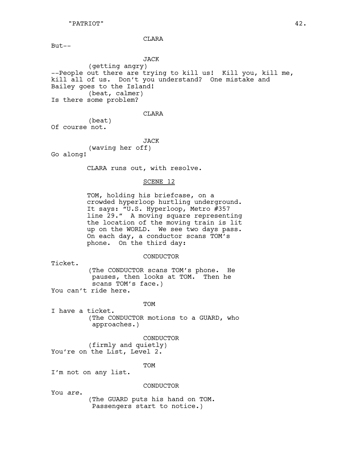CLARA

But--

JACK (getting angry) --People out there are trying to kill us! Kill you, kill me, kill all of us. Don't you understand? One mistake and Bailey goes to the Island! (beat, calmer) Is there some problem?

#### CLARA

(beat) Of course not.

JACK

(waving her off) Go along!

CLARA runs out, with resolve.

## SCENE 12

TOM, holding his briefcase, on a crowded hyperloop hurtling underground. It says: "U.S. Hyperloop, Metro #357 line 29." A moving square representing the location of the moving train is lit up on the WORLD. We see two days pass. On each day, a conductor scans TOM's phone. On the third day:

## CONDUCTOR

Ticket.

(The CONDUCTOR scans TOM's phone. He pauses, then looks at TOM. Then he scans TOM's face.)

You can't ride here.

#### **TOM**

I have a ticket. (The CONDUCTOR motions to a GUARD, who approaches.)

#### CONDUCTOR

(firmly and quietly) You're on the List, Level 2.

TOM

I'm not on any list.

#### CONDUCTOR

You *are*.

(The GUARD puts his hand on TOM. Passengers start to notice.)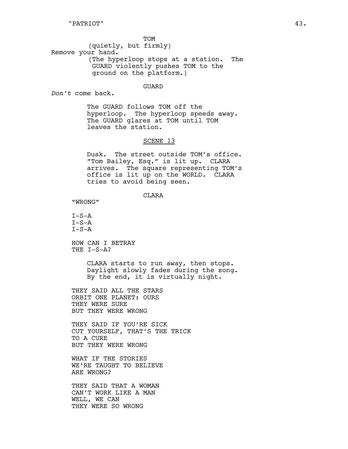**TOM** (quietly, but firmly) Remove your hand. (The hyperloop stops at a station. The GUARD violently pushes TOM to the ground on the platform.)

#### GUARD

*Don't* come back.

The GUARD follows TOM off the hyperloop. The hyperloop speeds away. The GUARD glares at TOM until TOM leaves the station.

## SCENE 13

Dusk. The street outside TOM's office. "Tom Bailey, Esq." is lit up. CLARA arrives. The square representing TOM's office is lit up on the WORLD. CLARA tries to avoid being seen.

CLARA

"WRONG"

 $I-S-A$  $I-S-A$  $T-S-A$ 

HOW CAN I BETRAY THE I-S-A?

> CLARA starts to run away, then stops. Daylight slowly fades during the song. By the end, it is virtually night.

THEY SAID ALL THE STARS ORBIT ONE PLANET: OURS THEY WERE SURE BUT THEY WERE WRONG

THEY SAID IF YOU'RE SICK CUT YOURSELF, THAT'S THE TRICK TO A CURE BUT THEY WERE WRONG

WHAT IF THE STORIES WE'RE TAUGHT TO BELIEVE ARE WRONG?

THEY SAID THAT A WOMAN CAN'T WORK LIKE A MAN WELL, WE CAN THEY WERE SO WRONG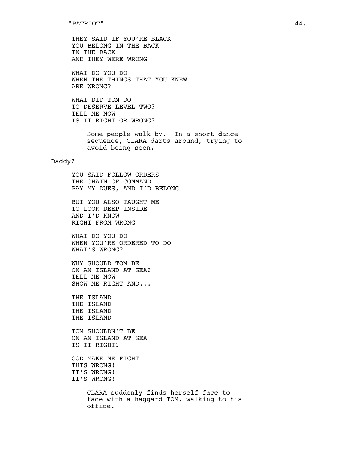THEY SAID IF YOU'RE BLACK YOU BELONG IN THE BACK IN THE BACK AND THEY WERE WRONG

WHAT DO YOU DO WHEN THE THINGS THAT YOU KNEW ARE WRONG?

WHAT DID TOM DO TO DESERVE LEVEL TWO? TELL ME NOW IS IT RIGHT OR WRONG?

> Some people walk by. In a short dance sequence, CLARA darts around, trying to avoid being seen.

# Daddy?

YOU SAID FOLLOW ORDERS THE CHAIN OF COMMAND PAY MY DUES, AND I'D BELONG

BUT YOU ALSO TAUGHT ME TO LOOK DEEP INSIDE AND I'D KNOW RIGHT FROM WRONG

WHAT DO YOU DO WHEN YOU'RE ORDERED TO DO WHAT'S WRONG?

WHY SHOULD TOM BE ON AN ISLAND AT SEA? TELL ME NOW SHOW ME RIGHT AND...

THE ISLAND THE ISLAND THE ISLAND THE ISLAND

TOM SHOULDN'T BE ON AN ISLAND AT SEA IS IT RIGHT?

GOD MAKE ME FIGHT THIS WRONG! IT'S WRONG! IT'S WRONG!

> CLARA suddenly finds herself face to face with a haggard TOM, walking to his office.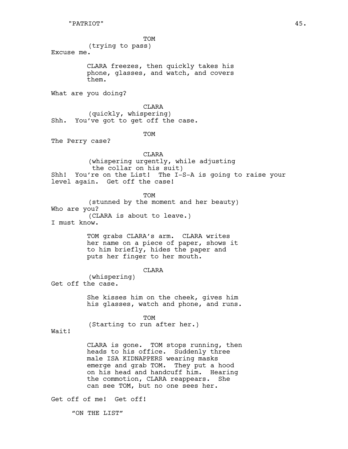TOM

(trying to pass) Excuse me.

> CLARA freezes, then quickly takes his phone, glasses, and watch, and covers them.

What are you doing?

CLARA (quickly, whispering) Shh. You've got to get off the case.

TOM

The Perry case?

CLARA (whispering urgently, while adjusting the collar on his suit) Shh! You're on the List! The I-S-A is going to raise your level again. Get off the case!

**TOM** (stunned by the moment and her beauty) Who are you? (CLARA is about to leave.) I must know.

> TOM grabs CLARA's arm. CLARA writes her name on a piece of paper, shows it to him briefly, hides the paper and puts her finger to her mouth.

> > CLARA

(whispering) Get off the case.

> She kisses him on the cheek, gives him his glasses, watch and phone, and runs.

> > TOM

(Starting to run after her.)

Wait!

CLARA is gone. TOM stops running, then heads to his office. Suddenly three male ISA KIDNAPPERS wearing masks emerge and grab TOM. They put a hood on his head and handcuff him. Hearing the commotion, CLARA reappears. She can see TOM, but no one sees her.

Get off of me! Get off!

"ON THE LIST"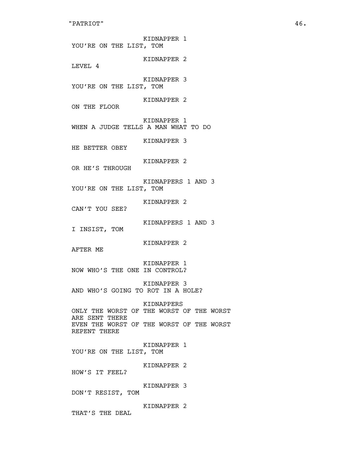KIDNAPPER 1 YOU'RE ON THE LIST, TOM KIDNAPPER 2 LEVEL 4 KIDNAPPER 3 YOU'RE ON THE LIST, TOM KIDNAPPER 2 ON THE FLOOR KIDNAPPER 1 WHEN A JUDGE TELLS A MAN WHAT TO DO KIDNAPPER 3 HE BETTER OBEY KIDNAPPER 2 OR HE'S THROUGH KIDNAPPERS 1 AND 3 YOU'RE ON THE LIST, TOM KIDNAPPER 2 CAN'T YOU SEE? KIDNAPPERS 1 AND 3 I INSIST, TOM KIDNAPPER 2 AFTER ME KIDNAPPER 1 NOW WHO'S THE ONE IN CONTROL? KIDNAPPER 3 AND WHO'S GOING TO ROT IN A HOLE? KIDNAPPERS ONLY THE WORST OF THE WORST OF THE WORST ARE SENT THERE EVEN THE WORST OF THE WORST OF THE WORST REPENT THERE KIDNAPPER 1 YOU'RE ON THE LIST, TOM KIDNAPPER 2 HOW'S IT FEEL? KIDNAPPER 3 DON'T RESIST, TOM KIDNAPPER 2 THAT'S THE DEAL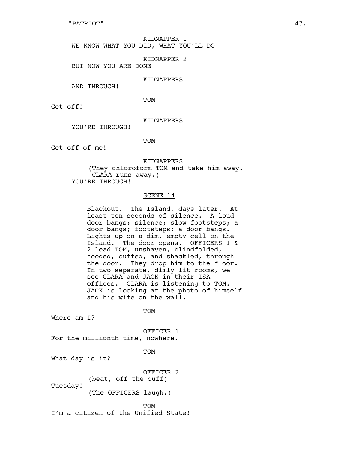KIDNAPPER 1 WE KNOW WHAT YOU DID, WHAT YOU'LL DO

KIDNAPPER 2

BUT NOW YOU ARE DONE

#### KIDNAPPERS

AND THROUGH!

TOM

Get off!

## KIDNAPPERS

YOU'RE THROUGH!

TOM

Get off of me!

KIDNAPPERS

(They chloroform TOM and take him away. CLARA runs away.) YOU'RE THROUGH!

#### SCENE 14

Blackout. The Island, days later. At least ten seconds of silence. A loud door bangs; silence; slow footsteps; a door bangs; footsteps; a door bangs. Lights up on a dim, empty cell on the Island. The door opens. OFFICERS 1 & 2 lead TOM, unshaven, blindfolded, hooded, cuffed, and shackled, through the door. They drop him to the floor. In two separate, dimly lit rooms, we see CLARA and JACK in their ISA offices. CLARA is listening to TOM. JACK is looking at the photo of himself and his wife on the wall.

TOM

Where am I?

OFFICER 1

For the millionth time, nowhere.

TOM

What day is it?

OFFICER 2

(beat, off the cuff) Tuesday!

(The OFFICERS laugh.)

**TOM** 

I'm a citizen of the Unified State!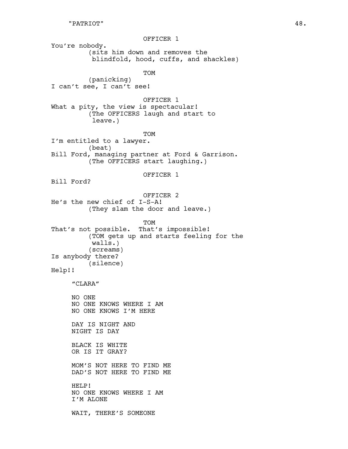OFFICER 1 You're nobody. (sits him down and removes the blindfold, hood, cuffs, and shackles) TOM (panicking) I can't see, I can't see! OFFICER 1 What a pity, the view is spectacular! (The OFFICERS laugh and start to leave.) **TOM** I'm entitled to a lawyer. (beat) Bill Ford, managing partner at Ford & Garrison. (The OFFICERS start laughing.) OFFICER 1 Bill Ford? OFFICER 2 He's the new chief of I-S-A! (They slam the door and leave.) TOM That's not possible. That's impossible! (TOM gets up and starts feeling for the walls.) (screams) Is anybody there? (silence) Help!! "CLARA" NO ONE NO ONE KNOWS WHERE I AM NO ONE KNOWS I'M HERE DAY IS NIGHT AND NIGHT IS DAY BLACK IS WHITE OR IS IT GRAY? MOM'S NOT HERE TO FIND ME DAD'S NOT HERE TO FIND ME HELP! NO ONE KNOWS WHERE I AM I'M ALONE WAIT, THERE'S SOMEONE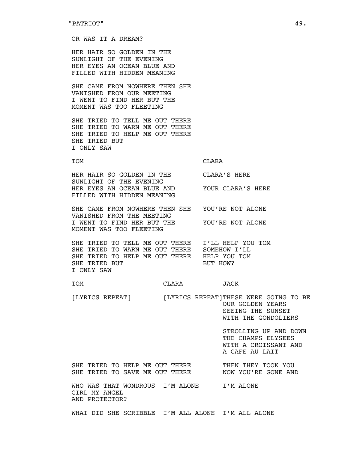#### OR WAS IT A DREAM?

HER HAIR SO GOLDEN IN THE SUNLIGHT OF THE EVENING HER EYES AN OCEAN BLUE AND FILLED WITH HIDDEN MEANING

SHE CAME FROM NOWHERE THEN SHE VANISHED FROM OUR MEETING I WENT TO FIND HER BUT THE MOMENT WAS TOO FLEETING

SHE TRIED TO TELL ME OUT THERE SHE TRIED TO WARN ME OUT THERE SHE TRIED TO HELP ME OUT THERE SHE TRIED BUT I ONLY SAW

TOM CLARA

HER HAIR SO GOLDEN IN THE CLARA'S HERE SUNLIGHT OF THE EVENING HER EYES AN OCEAN BLUE AND YOUR CLARA'S HERE FILLED WITH HIDDEN MEANING

SHE CAME FROM NOWHERE THEN SHE YOU'RE NOT ALONE VANISHED FROM THE MEETING I WENT TO FIND HER BUT THE YOU'RE NOT ALONE MOMENT WAS TOO FLEETING

SHE TRIED TO TELL ME OUT THERE I'LL HELP YOU TOM SHE TRIED TO WARN ME OUT THERE SOMEHOW I'LL SHE TRIED TO HELP ME OUT THERE HELP YOU TOM SHE TRIED BUT **BUT HOW?** I ONLY SAW

#### TOM CLARA JACK

[LYRICS REPEAT] [LYRICS REPEAT]THESE WERE GOING TO BE OUR GOLDEN YEARS SEEING THE SUNSET

WITH THE GONDOLIERS

STROLLING UP AND DOWN THE CHAMPS ELYSEES WITH A CROISSANT AND A CAFE AU LAIT

SHE TRIED TO HELP ME OUT THERE THEN THEY TOOK YOU SHE TRIED TO SAVE ME OUT THERE NOW YOU'RE GONE AND

WHO WAS THAT WONDROUS I'M ALONE I'M ALONE GIRL MY ANGEL AND PROTECTOR?

WHAT DID SHE SCRIBBLE I'M ALL ALONE I'M ALL ALONE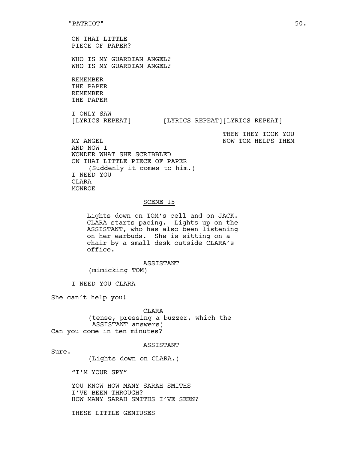ON THAT LITTLE PIECE OF PAPER?

WHO IS MY GUARDIAN ANGEL? WHO IS MY GUARDIAN ANGEL?

REMEMBER THE PAPER REMEMBER THE PAPER

I ONLY SAW [LYRICS REPEAT] [LYRICS REPEAT][LYRICS REPEAT]

THEN THEY TOOK YOU

MY ANGEL NOW TOM HELPS THEM AND NOW I WONDER WHAT SHE SCRIBBLED ON THAT LITTLE PIECE OF PAPER (Suddenly it comes to him.) I NEED YOU **CLARA** MONROE

#### SCENE 15

Lights down on TOM's cell and on JACK. CLARA starts pacing. Lights up on the ASSISTANT, who has also been listening on her earbuds. She is sitting on a chair by a small desk outside CLARA's office.

#### ASSISTANT

(mimicking TOM)

I NEED YOU CLARA

She can't help you!

#### CLARA

(tense, pressing a buzzer, which the ASSISTANT answers) Can you come in ten minutes?

#### ASSISTANT

Sure.

(Lights down on CLARA.)

"I'M YOUR SPY"

YOU KNOW HOW MANY SARAH SMITHS I'VE BEEN THROUGH? HOW MANY SARAH SMITHS I'VE SEEN?

THESE LITTLE GENIUSES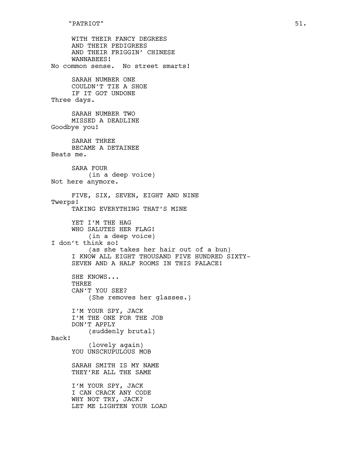```
WITH THEIR FANCY DEGREES
     AND THEIR PEDIGREES
     AND THEIR FRIGGIN' CHINESE
     WANNABEES!
No common sense. No street smarts!
     SARAH NUMBER ONE
     COULDN'T TIE A SHOE
     IF IT GOT UNDONE
Three days.
     SARAH NUMBER TWO
     MISSED A DEADLINE
Goodbye you!
     SARAH THREE
     BECAME A DETAINEE
Beats me.
     SARA FOUR
         (in a deep voice)
Not here anymore.
     FIVE, SIX, SEVEN, EIGHT AND NINE
Twerps!
     TAKING EVERYTHING THAT'S MINE
     YET I'M THE HAG
     WHO SALUTES HER FLAG!
         (in a deep voice)
I don't think so!
         (as she takes her hair out of a bun)
     I KNOW ALL EIGHT THOUSAND FIVE HUNDRED SIXTY-
     SEVEN AND A HALF ROOMS IN THIS PALACE!
     SHE KNOWS...
     THREE
     CAN'T YOU SEE?
         (She removes her glasses.)
     I'M YOUR SPY, JACK
     I'M THE ONE FOR THE JOB
     DON'T APPLY
         (suddenly brutal)
Back!
         (lovely again)
     YOU UNSCRUPULOUS MOB
     SARAH SMITH IS MY NAME
     THEY'RE ALL THE SAME
     I'M YOUR SPY, JACK
     I CAN CRACK ANY CODE
     WHY NOT TRY, JACK?
     LET ME LIGHTEN YOUR LOAD
```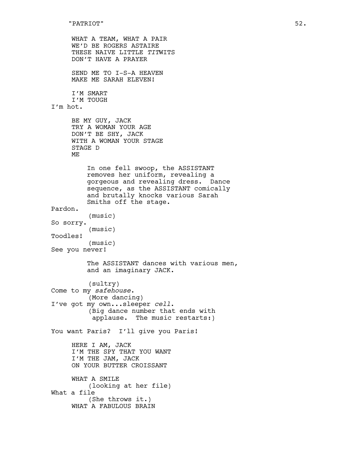WHAT A TEAM, WHAT A PAIR WE'D BE ROGERS ASTAIRE THESE NAIVE LITTLE *TIT*WITS DON'T HAVE A PRAYER SEND ME TO I-S-A HEAVEN MAKE ME SARAH ELEVEN! I'M SMART I'M TOUGH I'm hot. BE MY GUY, JACK TRY A WOMAN YOUR AGE DON'T BE SHY, JACK WITH A WOMAN YOUR STAGE STAGE D ME In one fell swoop, the ASSISTANT removes her uniform, revealing a gorgeous and revealing dress. Dance sequence, as the ASSISTANT comically and brutally knocks various Sarah Smiths off the stage. Pardon. (music) So sorry. (music) Toodles! (music) See you never! The ASSISTANT dances with various men, and an imaginary JACK. (sultry) Come to my *safehouse*. (More dancing) I've got my own...sleeper *cell*. (Big dance number that ends with applause. The music restarts:) You want Paris? I'll give you Paris! HERE I AM, JACK I'M THE SPY THAT YOU WANT I'M THE JAM, JACK ON YOUR BUTTER CROISSANT WHAT A SMILE (looking at her file) What a file (She throws it.) WHAT A FABULOUS BRAIN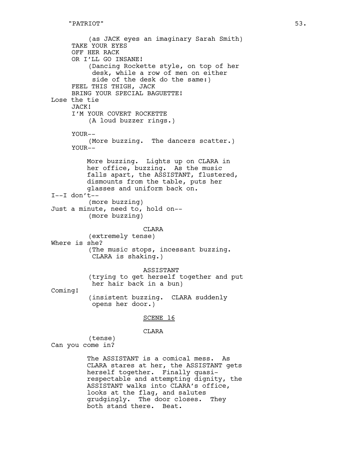(as JACK eyes an imaginary Sarah Smith) TAKE YOUR EYES OFF HER RACK OR I'LL GO INSANE! (Dancing Rockette style, on top of her desk, while a row of men on either side of the desk do the same:) FEEL THIS THIGH, JACK BRING YOUR SPECIAL BAGUETTE! Lose the tie JACK! I'M YOUR COVERT ROCKETTE (A loud buzzer rings.) YOUR-- (More buzzing. The dancers scatter.) YOUR-- More buzzing. Lights up on CLARA in her office, buzzing. As the music falls apart, the ASSISTANT, flustered, dismounts from the table, puts her glasses and uniform back on.  $I--I$  don't --(more buzzing) Just a minute, need to, hold on-- (more buzzing) **CLARA** (extremely tense) Where is she? (The music stops, incessant buzzing. CLARA is shaking.) ASSISTANT (trying to get herself together and put her hair back in a bun) Coming! (insistent buzzing. CLARA suddenly opens her door.) SCENE 16 CLARA (tense) Can you come in? The ASSISTANT is a comical mess. As CLARA stares at her, the ASSISTANT gets herself together. Finally quasi-

respectable and attempting dignity, the ASSISTANT walks into CLARA's office, looks at the flag, and salutes grudgingly. The door closes. They both stand there. Beat.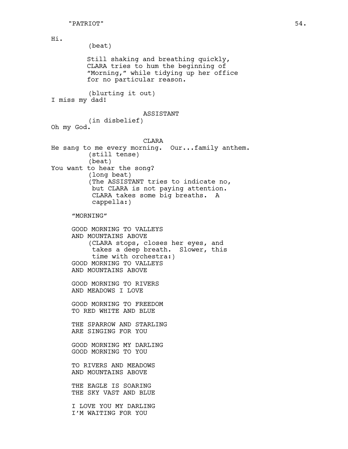Hi. (beat) Still shaking and breathing quickly, CLARA tries to hum the beginning of "Morning," while tidying up her office for no particular reason. (blurting it out) I miss my dad! ASSISTANT (in disbelief) Oh my God. CLARA He sang to me every morning. Our...family anthem. (still tense) (beat) You want to hear the song? (long beat) (The ASSISTANT tries to indicate no, but CLARA is not paying attention. CLARA takes some big breaths. A cappella:) "MORNING" GOOD MORNING TO VALLEYS AND MOUNTAINS ABOVE (CLARA stops, closes her eyes, and takes a deep breath. Slower, this time with orchestra:) GOOD MORNING TO VALLEYS AND MOUNTAINS ABOVE GOOD MORNING TO RIVERS AND MEADOWS I LOVE GOOD MORNING TO FREEDOM TO RED WHITE AND BLUE THE SPARROW AND STARLING ARE SINGING FOR YOU GOOD MORNING MY DARLING GOOD MORNING TO YOU TO RIVERS AND MEADOWS AND MOUNTAINS ABOVE THE EAGLE IS SOARING THE SKY VAST AND BLUE I LOVE YOU MY DARLING I'M WAITING FOR YOU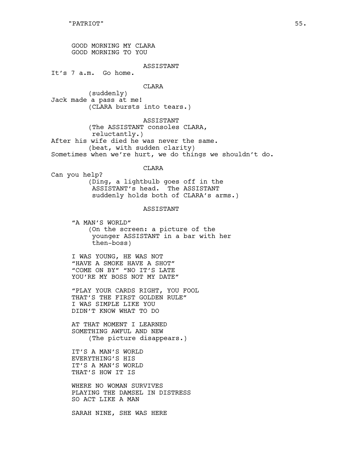GOOD MORNING MY CLARA GOOD MORNING TO YOU

ASSISTANT

It's 7 a.m. Go home.

#### CLARA

(suddenly) Jack made a pass at me! (CLARA bursts into tears.)

ASSISTANT

(The ASSISTANT consoles CLARA, reluctantly.) After his wife died he was never the same. (beat, with sudden clarity) Sometimes when we're hurt, we do things we shouldn't do.

# CLARA

Can you help? (Ding, a lightbulb goes off in the ASSISTANT's head. The ASSISTANT suddenly holds both of CLARA's arms.)

## ASSISTANT

"A MAN'S WORLD" (On the screen: a picture of the younger ASSISTANT in a bar with her then-boss)

I WAS YOUNG, HE WAS NOT "HAVE A SMOKE HAVE A SHOT" "COME ON BY" "NO IT'S LATE YOU'RE MY BOSS NOT MY DATE"

"PLAY YOUR CARDS RIGHT, YOU FOOL THAT'S THE FIRST GOLDEN RULE" I WAS SIMPLE LIKE YOU DIDN'T KNOW WHAT TO DO

AT THAT MOMENT I LEARNED SOMETHING AWFUL AND NEW (The picture disappears.)

IT'S A MAN'S WORLD EVERYTHING'S HIS IT'S A MAN'S WORLD THAT'S HOW IT IS

WHERE NO WOMAN SURVIVES PLAYING THE DAMSEL IN DISTRESS SO ACT LIKE A MAN

SARAH NINE, SHE WAS HERE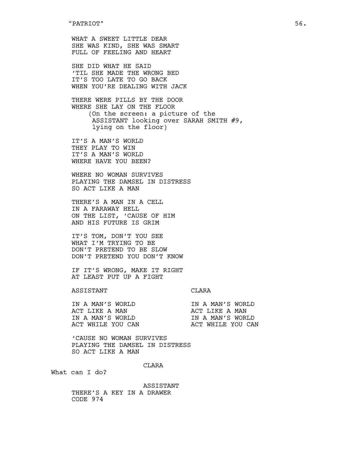WHAT A SWEET LITTLE DEAR SHE WAS KIND, SHE WAS SMART FULL OF FEELING AND HEART

SHE DID WHAT HE SAID 'TIL SHE MADE THE WRONG BED IT'S TOO LATE TO GO BACK WHEN YOU'RE DEALING WITH JACK

THERE WERE PILLS BY THE DOOR WHERE SHE LAY ON THE FLOOR (On the screen: a picture of the ASSISTANT looking over SARAH SMITH #9, lying on the floor)

IT'S A MAN'S WORLD THEY PLAY TO WIN IT'S A MAN'S WORLD WHERE HAVE YOU BEEN?

WHERE NO WOMAN SURVIVES PLAYING THE DAMSEL IN DISTRESS SO ACT LIKE A MAN

THERE'S A MAN IN A CELL IN A FARAWAY HELL ON THE LIST, 'CAUSE OF HIM AND HIS FUTURE IS GRIM

IT'S TOM, DON'T YOU SEE WHAT I'M TRYING TO BE DON'T PRETEND TO BE SLOW DON'T PRETEND YOU DON'T KNOW

IF IT'S WRONG, MAKE IT RIGHT AT LEAST PUT UP A FIGHT

#### ASSISTANT CLARA

| IN A MAN'S WORLD  | IN A MAN'S WORLD  |
|-------------------|-------------------|
| ACT LIKE A MAN    | ACT LIKE A MAN    |
| IN A MAN'S WORLD  | TN A MAN'S WORLD  |
| ACT WHILE YOU CAN | ACT WHILE YOU CAN |

'CAUSE NO WOMAN SURVIVES PLAYING THE DAMSEL IN DISTRESS SO ACT LIKE A MAN

CLARA

What can I do?

ASSISTANT THERE'S A KEY IN A DRAWER CODE 974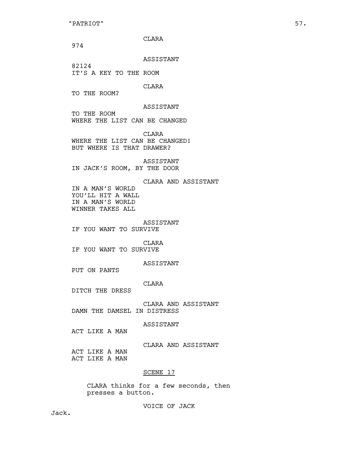"PATRIOT" 57.

CLARA

974

ASSISTANT

82124 IT'S A KEY TO THE ROOM

CLARA

TO THE ROOM?

ASSISTANT

TO THE ROOM WHERE THE LIST CAN BE CHANGED

CLARA WHERE THE LIST CAN BE CHANGED! BUT WHERE IS THAT DRAWER?

ASSISTANT IN JACK'S ROOM, BY THE DOOR

CLARA AND ASSISTANT IN A MAN'S WORLD YOU'LL HIT A WALL IN A MAN'S WORLD WINNER TAKES ALL

#### ASSISTANT

IF YOU WANT TO SURVIVE

CLARA

IF YOU WANT TO SURVIVE

ASSISTANT

PUT ON PANTS

CLARA

DITCH THE DRESS

CLARA AND ASSISTANT DAMN THE DAMSEL IN DISTRESS

ASSISTANT

ACT LIKE A MAN

CLARA AND ASSISTANT

ACT LIKE A MAN ACT LIKE A MAN

#### SCENE 17

CLARA thinks for a few seconds, then presses a button.

VOICE OF JACK

Jack.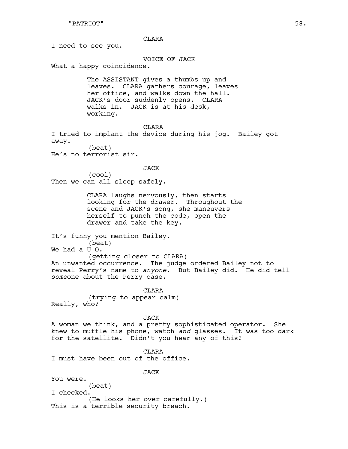#### CLARA

I need to see you.

VOICE OF JACK

What a happy coincidence.

The ASSISTANT gives a thumbs up and leaves. CLARA gathers courage, leaves her office, and walks down the hall. JACK's door suddenly opens. CLARA walks in. JACK is at his desk, working.

CLARA

I tried to implant the device during his jog. Bailey got away. (beat)

He's no terrorist sir.

JACK

(cool) Then we can all sleep safely.

> CLARA laughs nervously, then starts looking for the drawer. Throughout the scene and JACK's song, she maneuvers herself to punch the code, open the drawer and take the key.

It's funny you mention Bailey.

(beat) We had a U-O.

(getting closer to CLARA) An unwanted occurrence. The judge ordered Bailey not to reveal Perry's name to *anyone*. But Bailey did. He did tell *some*one about the Perry case.

CLARA (trying to appear calm) Really, who?

#### JACK

A woman we think, and a pretty sophisticated operator. She knew to muffle his phone, watch *and* glasses. It was too dark for the satellite. Didn't you hear any of this?

CLARA

I must have been out of the office.

JACK

You were.

(beat) I checked. (He looks her over carefully.) This is a terrible security breach.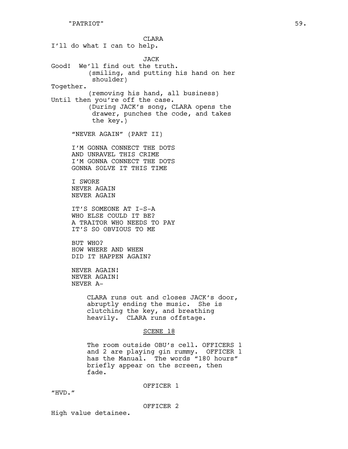**CLARA** I'll do what I can to help. JACK Good! We'll find out the truth. (smiling, and putting his hand on her shoulder) Together. (removing his hand, all business) Until then you're off the case. (During JACK's song, CLARA opens the drawer, punches the code, and takes the key.) "NEVER AGAIN" (PART II) I'M GONNA CONNECT THE DOTS AND UNRAVEL THIS CRIME I'M GONNA CONNECT THE DOTS GONNA SOLVE IT THIS TIME I SWORE NEVER AGAIN NEVER AGAIN IT'S SOMEONE AT I-S-A WHO ELSE COULD IT BE? A TRAITOR WHO NEEDS TO PAY IT'S SO OBVIOUS TO ME BUT WHO? HOW WHERE AND WHEN DID IT HAPPEN AGAIN? NEVER AGAIN! NEVER AGAIN! NEVER A-CLARA runs out and closes JACK's door, abruptly ending the music. She is clutching the key, and breathing heavily. CLARA runs offstage. SCENE 18 The room outside OBU's cell. OFFICERS 1 and 2 are playing gin rummy. OFFICER 1 has the Manual. The words "180 hours" briefly appear on the screen, then fade.

OFFICER 1

"HVD."

OFFICER 2

High value detainee.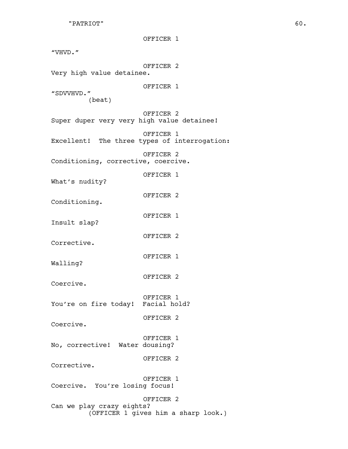"PATRIOT" 60.

OFFICER 1 "VHVD." OFFICER 2 Very high value detainee. OFFICER 1 "SDVVHVD." (beat) OFFICER 2 Super duper very very high value detainee! OFFICER 1 Excellent! The three types of interrogation: OFFICER 2 Conditioning, corrective, coercive. OFFICER 1 What's nudity? OFFICER 2 Conditioning. OFFICER 1 Insult slap? OFFICER 2 Corrective. OFFICER 1 Walling? OFFICER 2 Coercive. OFFICER 1 You're on fire today! Facial hold? OFFICER 2 Coercive. OFFICER 1 No, corrective! Water dousing? OFFICER 2 Corrective. OFFICER 1 Coercive. You're losing focus! OFFICER 2 Can we play crazy eights? (OFFICER 1 gives him a sharp look.)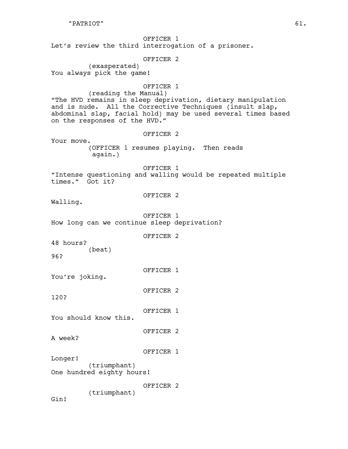OFFICER 1 Let's review the third interrogation of a prisoner. OFFICER 2 (exasperated) You always pick the game! OFFICER 1 (reading the Manual) "The HVD remains in sleep deprivation, dietary manipulation and is nude. All the Corrective Techniques (insult slap, abdominal slap, facial hold) may be used several times based on the responses of the HVD." OFFICER 2 Your move. (OFFICER 1 resumes playing. Then reads again.) OFFICER 1 "Intense questioning and walling would be repeated multiple times." Got it? OFFICER 2 Walling. OFFICER 1 How long can we continue sleep deprivation? OFFICER 2 48 hours? (beat) 96? OFFICER 1 You're joking. OFFICER 2 120? OFFICER 1 You should know this. OFFICER 2 A week? OFFICER 1 Longer! (triumphant) One hundred eighty hours! OFFICER 2 (triumphant) Gin!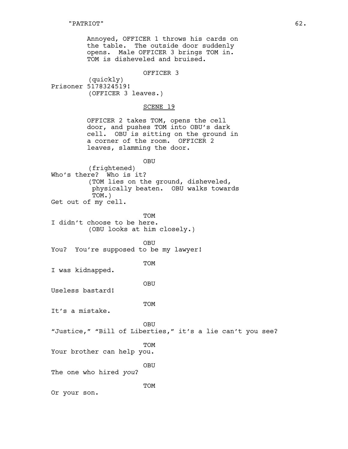Annoyed, OFFICER 1 throws his cards on the table. The outside door suddenly opens. Male OFFICER 3 brings TOM in. TOM is disheveled and bruised.

#### OFFICER 3

(quickly) Prisoner 5178324519! (OFFICER 3 leaves.)

## SCENE 19

OFFICER 2 takes TOM, opens the cell door, and pushes TOM into OBU's dark cell. OBU is sitting on the ground in a corner of the room. OFFICER 2 leaves, slamming the door.

OBU

(frightened) Who's there? Who is it? (TOM lies on the ground, disheveled, physically beaten. OBU walks towards TOM.) Get out of my cell.

TOM I didn't choose to be here. (OBU looks at him closely.)

OBU You? You're supposed to be my lawyer!

TOM

I was kidnapped.

OBU

Useless bastard!

TOM

It's a mistake.

OBU

"Justice," "Bill of Liberties," it's a lie can't you see?

TOM

Your brother can help you.

OBU

The one who hired *you*?

TOM

Or your son.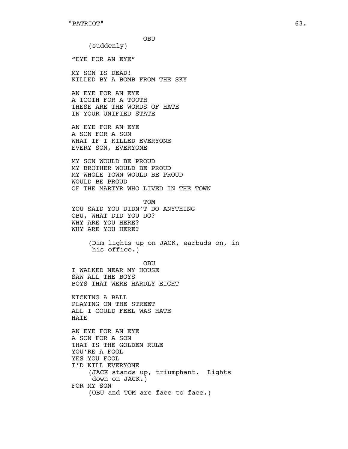```
"PATRIOT" 63.
```
OBU

(suddenly)

"EYE FOR AN EYE"

MY SON IS DEAD! KILLED BY A BOMB FROM THE SKY

AN EYE FOR AN EYE A TOOTH FOR A TOOTH THESE ARE THE WORDS OF HATE IN YOUR UNIFIED STATE

AN EYE FOR AN EYE A SON FOR A SON WHAT IF I KILLED EVERYONE EVERY SON, EVERYONE

MY SON WOULD BE PROUD MY BROTHER WOULD BE PROUD MY WHOLE TOWN WOULD BE PROUD WOULD BE PROUD OF THE MARTYR WHO LIVED IN THE TOWN

TOM YOU SAID YOU DIDN'T DO ANYTHING OBU, WHAT DID YOU DO? WHY ARE YOU HERE? WHY ARE YOU HERE?

> (Dim lights up on JACK, earbuds on, in his office.)

OBU I WALKED NEAR MY HOUSE SAW ALL THE BOYS BOYS THAT WERE HARDLY EIGHT

KICKING A BALL PLAYING ON THE STREET ALL I COULD FEEL WAS HATE HATE

AN EYE FOR AN EYE A SON FOR A SON THAT IS THE GOLDEN RULE YOU'RE A FOOL YES YOU FOOL I'D KILL EVERYONE (JACK stands up, triumphant. Lights down on JACK.) FOR MY SON (OBU and TOM are face to face.)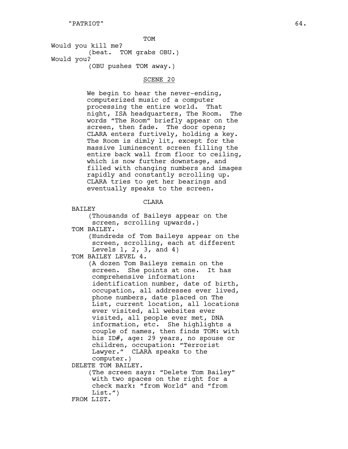T O M

Would you kill me? (beat. TOM grabs OBU.) .<br>)<br>) OBU pushes TOM away.)

# SCENE 20

We begin to hear the never-ending, computerized music of a computer processing the entire world. That night, ISA headquarters, The Room. T h e words "The Room" briefly appear on the screen, then fade. The door opens; CLARA enters furtively, holding a key. The Room is dimly lit, except for the massive luminescent screen filling the entire back wall from floor to ceiling, which is now further downstage, and filled with changing numbers and images rapidly and constantly scrolling up. CLARA tries to get her bearings and eventually speaks to the screen.

C L A RA

**BAILEY** 

(Thousands of Baileys appear on the screen, scrolling upwards.)

TOM BAILEY.

(Hundreds of Tom Baileys appear on the screen, scrolling, each at different Levels  $1, 2, 3, and 4$ 

TOM BAILEY LEVEL 4.

(A dozen Tom Baileys remain on the screen. She points at one. It has comprehensive information: identification number, date of birth, occupation, all addresses ever lived, phone numbers, date placed on The List, current location, all locations ever visited, all websites ever visited, all people ever met, DNA information, etc. She highlights a couple of names, then finds TOM: with his ID#, age: 29 years, no spouse or children, occupation: "Terrorist Lawyer." CLARA speaks to the computer.)

DELETE TOM BAILEY.

(The screen says: "Delete Tom Bailey" with two spaces on the right for a check mark: "from World" and "from List.")

FROM LIST.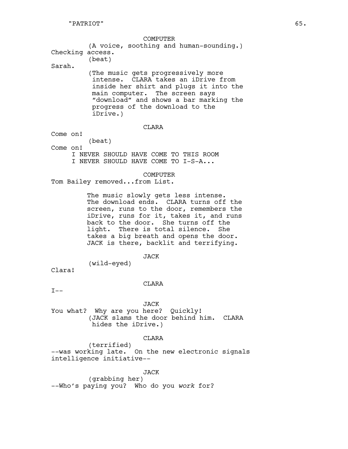COMPUTER (A voice, soothing and human-sounding.) Checking access. (beat) Sarah. (The music gets progressively more intense. CLARA takes an iDrive from inside her shirt and plugs it into the main computer. The screen says "download" and shows a bar marking the progress of the download to the iDrive.) CLARA Come on! (beat) Come on! I NEVER SHOULD HAVE COME TO THIS ROOM I NEVER SHOULD HAVE COME TO I-S-A... COMPUTER Tom Bailey removed...from List. The music slowly gets less intense. The download ends. CLARA turns off the screen, runs to the door, remembers the iDrive, runs for it, takes it, and runs back to the door. She turns off the light. There is total silence. She takes a big breath and opens the door. JACK is there, backlit and terrifying. JACK (wild-eyed) Clara! CLARA  $I - -$ JACK You what? Why are you here? Quickly! (JACK slams the door behind him. CLARA hides the iDrive.) CLARA

(terrified) --was working late. On the new electronic signals intelligence initiative--

JACK

(grabbing her) --Who's paying you? Who do you *work* for?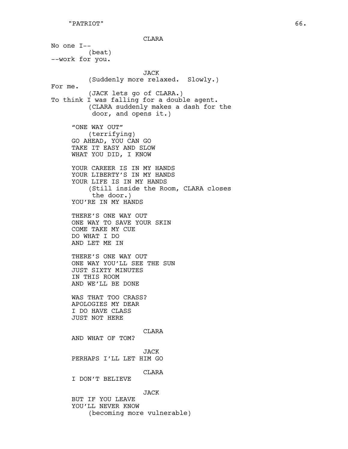CLARA

No one I-- (beat) --work for you. JACK (Suddenly more relaxed. Slowly.) For me. (JACK lets go of CLARA.) To think I was falling for a double agent. (CLARA suddenly makes a dash for the door, and opens it.) "ONE WAY OUT" (terrifying) GO AHEAD, YOU CAN GO TAKE IT EASY AND SLOW WHAT YOU DID, I KNOW YOUR CAREER IS IN MY HANDS YOUR LIBERTY'S IN MY HANDS YOUR LIFE IS IN MY HANDS (Still inside the Room, CLARA closes the door.) YOU'RE IN MY HANDS THERE'S ONE WAY OUT ONE WAY TO SAVE YOUR SKIN COME TAKE MY CUE DO WHAT I DO AND LET ME IN THERE'S ONE WAY OUT ONE WAY YOU'LL SEE THE SUN JUST SIXTY MINUTES IN THIS ROOM AND WE'LL BE DONE WAS THAT TOO CRASS? APOLOGIES MY DEAR I DO HAVE CLASS JUST NOT HERE CLARA AND WHAT OF TOM? JACK PERHAPS I'LL LET HIM GO CLARA I DON'T BELIEVE JACK BUT IF YOU LEAVE YOU'LL NEVER KNOW

(becoming more vulnerable)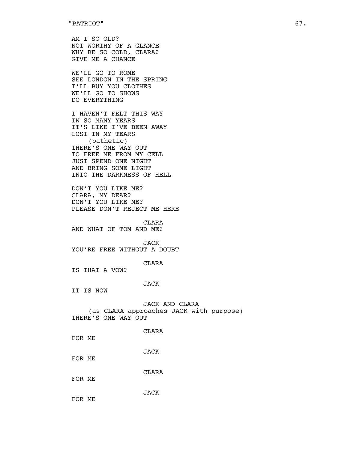AM I SO OLD? NOT WORTHY OF A GLANCE WHY BE SO COLD, CLARA? GIVE ME A CHANCE

WE'LL GO TO ROME SEE LONDON IN THE SPRING I'LL BUY YOU CLOTHES WE'LL GO TO SHOWS DO EVERYTHING

I HAVEN'T FELT THIS WAY IN SO MANY YEARS IT'S LIKE I'VE BEEN AWAY LOST IN MY TEARS (pathetic) THERE'S ONE WAY OUT TO FREE ME FROM MY CELL JUST SPEND ONE NIGHT AND BRING SOME LIGHT INTO THE DARKNESS OF HELL

DON'T YOU LIKE ME? CLARA, MY DEAR? DON'T YOU LIKE ME? PLEASE DON'T REJECT ME HERE

CLARA

AND WHAT OF TOM AND ME?

JACK

YOU'RE FREE WITHOUT A DOUBT

CLARA

IS THAT A VOW?

## JACK

IT IS NOW

JACK AND CLARA (as CLARA approaches JACK with purpose) THERE'S ONE WAY OUT

CLARA

FOR ME

JACK

FOR ME

CLARA

FOR ME

JACK FOR ME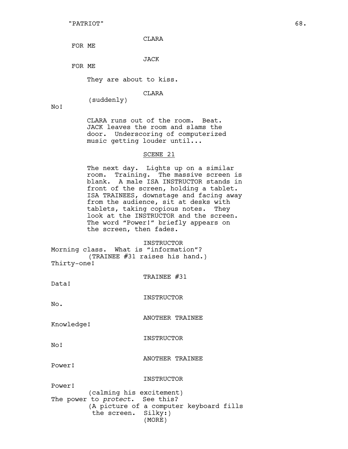CLARA

FOR ME

## JACK

FOR ME

They are about to kiss.

(suddenly)

CLARA

No!

CLARA runs out of the room. Beat. JACK leaves the room and slams the door. Underscoring of computerized music getting louder until...

#### SCENE 21

The next day. Lights up on a similar room. Training. The massive screen is blank. A male ISA INSTRUCTOR stands in front of the screen, holding a tablet. ISA TRAINEES, downstage and facing away from the audience, sit at desks with tablets, taking copious notes. They look at the INSTRUCTOR and the screen. The word "Power!" briefly appears on the screen, then fades.

**INSTRUCTOR** Morning class. What is "information"? (TRAINEE #31 raises his hand.) Thirty-one!

TRAINEE #31

Data!

INSTRUCTOR

No.

ANOTHER TRAINEE

Knowledge!

INSTRUCTOR

No!

ANOTHER TRAINEE

Power!

#### INSTRUCTOR

Power! (calming his excitement) The power to *protect*. See this? (A picture of a computer keyboard fills the screen. Silky:) (MORE)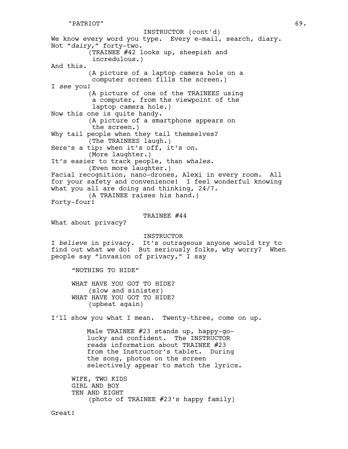We know every word you type. Every e-mail, search, diary. Not "*dairy*," forty-two. (TRAINEE #42 looks up, sheepish and incredulous.) And this. (A picture of a laptop camera hole on a computer screen fills the screen.) I *see* you! (A picture of one of the TRAINEES using a computer, from the viewpoint of the laptop camera hole.) Now this one is quite handy. (A picture of a smartphone appears on the screen.) Why tail people when they tail themselves? (The TRAINEES laugh.) Here's a tip: when it's off, it's *on*. (More laughter.) It's easier to track people, than *whales*. (Even more laughter.) Facial recognition, nano-drones, Alexi in every room. All for your safety and convenience! I feel wonderful knowing what you all are doing and thinking, 24/7. (A TRAINEE raises his hand.) Forty-four! TRAINEE #44 What about privacy? INSTRUCTOR I *believe* in privacy. It's outrageous anyone would try to find out what *we* do! But seriously folks, why worry? When people say "invasion of privacy," I say "NOTHING TO HIDE" WHAT HAVE YOU GOT TO HIDE? (slow and sinister) WHAT HAVE YOU GOT TO HIDE? (upbeat again) I'll show you what I mean. Twenty-three, come on up. Male TRAINEE #23 stands up, happy-golucky and confident. The INSTRUCTOR reads information about TRAINEE #23 from the Instructor's tablet. During the song, photos on the screen selectively appear to match the lyrics. WIFE, TWO KIDS GIRL AND BOY TEN AND EIGHT (photo of TRAINEE #23's happy family) INSTRUCTOR (cont'd)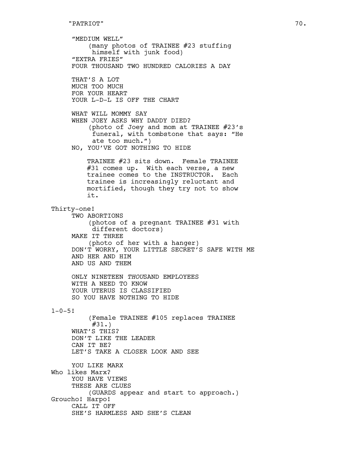"MEDIUM WELL" (many photos of TRAINEE #23 stuffing himself with junk food) "EXTRA FRIES" FOUR THOUSAND TWO HUNDRED CALORIES A DAY THAT'S A LOT MUCH TOO MUCH FOR YOUR HEART YOUR L-D-L IS OFF THE CHART WHAT WILL MOMMY SAY WHEN JOEY ASKS WHY DADDY DIED? (photo of Joey and mom at TRAINEE #23's funeral, with tombstone that says: "He ate too much.") NO, YOU'VE GOT NOTHING TO HIDE TRAINEE #23 sits down. Female TRAINEE #31 comes up. With each verse, a new trainee comes to the INSTRUCTOR. Each trainee is increasingly reluctant and mortified, though they try not to show it. Thirty-one! TWO ABORTIONS (photos of a pregnant TRAINEE #31 with different doctors) MAKE IT THREE (photo of her with a hanger) DON'T WORRY, YOUR LITTLE SECRET'S SAFE WITH ME AND HER AND HIM AND US AND THEM ONLY NINETEEN *THOU*SAND EMPLOYEES WITH A NEED TO KNOW YOUR UTERUS IS CLASSIFIED SO YOU HAVE NOTHING TO HIDE  $1 - 0 - 5!$ (Female TRAINEE #105 replaces TRAINEE #31.) WHAT'S THIS? DON'T LIKE THE LEADER CAN IT BE? LET'S TAKE A CLOSER LOOK AND SEE YOU LIKE MARX Who likes Marx? YOU HAVE VIEWS THESE ARE CLUES (GUARDS appear and start to approach.) Groucho! Harpo! CALL IT OFF SHE'S HARMLESS AND SHE'S CLEAN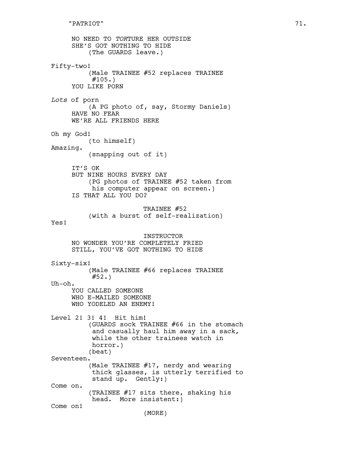NO NEED TO *TOR*TURE HER OUTSIDE SHE'S GOT NOTHING TO HIDE (The GUARDS leave.) Fifty-two! (Male TRAINEE #52 replaces TRAINEE  $#105.$ YOU LIKE PORN *Lots* of porn (A PG photo of, say, Stormy Daniels) HAVE NO FEAR WE'RE ALL FRIENDS HERE Oh my God! (to himself) Amazing. (snapping out of it) IT'S OK BUT NINE HOURS EVERY DAY (PG photos of TRAINEE #52 taken from his computer appear on screen.) IS THAT ALL YOU DO? TRAINEE #52 (with a burst of self-realization) Yes! INSTRUCTOR NO WONDER YOU'RE COMPLETELY FRIED STILL, YOU'VE GOT NOTHING TO HIDE Sixty-six! (Male TRAINEE #66 replaces TRAINEE  $#52.$ Uh-oh. YOU CALLED SOMEONE WHO E-MAILED SOMEONE WHO YODELED AN ENEMY! Level 2! 3! 4! Hit him! (GUARDS sock TRAINEE #66 in the stomach and casually haul him away in a sack, while the other trainees watch in horror.) (beat) Seventeen. (Male TRAINEE #17, nerdy and wearing thick glasses, is utterly terrified to stand up. Gently:) Come on. (TRAINEE #17 sits there, shaking his head. More insistent:) Come on! (MORE)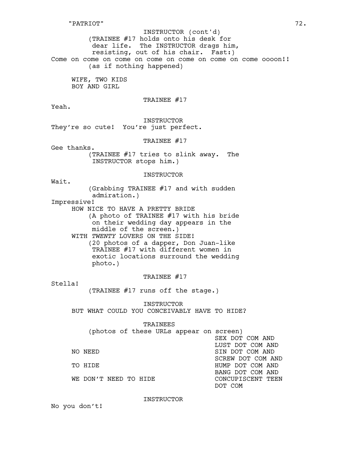(TRAINEE #17 holds onto his desk for dear life. The INSTRUCTOR drags him, resisting, out of his chair. Fast:) Come on come on come on come on come on come on come oooon!! (as if nothing happened) INSTRUCTOR (cont'd)

WIFE, TWO KIDS BOY AND GIRL

TRAINEE #17

Yeah.

INSTRUCTOR They're so cute! You're just perfect.

TRAINEE #17

Gee thanks.

(TRAINEE #17 tries to slink away. The INSTRUCTOR stops him.)

INSTRUCTOR

Wait.

(Grabbing TRAINEE #17 and with sudden admiration.)

Impressive!

HOW NICE TO HAVE A PRETTY BRIDE (A photo of TRAINEE #17 with his bride on their wedding day appears in the middle of the screen.)

WITH *TWENTY* LOVERS ON THE SIDE! (20 photos of a dapper, Don Juan-like TRAINEE #17 with different women in exotic locations surround the wedding photo.)

TRAINEE #17

Stella!

(TRAINEE #17 runs off the stage.)

**INSTRUCTOR** BUT WHAT COULD YOU CONCEIVABLY HAVE TO HIDE?

TRAINEES<br>hand in the company of the company

| $\Box$                |  |  |  |  |  |                                         |
|-----------------------|--|--|--|--|--|-----------------------------------------|
|                       |  |  |  |  |  | (photos of these URLs appear on screen) |
|                       |  |  |  |  |  | SEX DOT COM AND                         |
|                       |  |  |  |  |  | LUST DOT COM AND                        |
| NO NEED               |  |  |  |  |  | SIN DOT COM AND                         |
|                       |  |  |  |  |  | SCREW DOT COM AND                       |
| TO HIDE               |  |  |  |  |  | HUMP DOT COM AND                        |
|                       |  |  |  |  |  | BANG DOT COM AND                        |
| WE DON'T NEED TO HIDE |  |  |  |  |  | CONCUPTSCENT TEEN                       |
|                       |  |  |  |  |  | DOT COM                                 |

INSTRUCTOR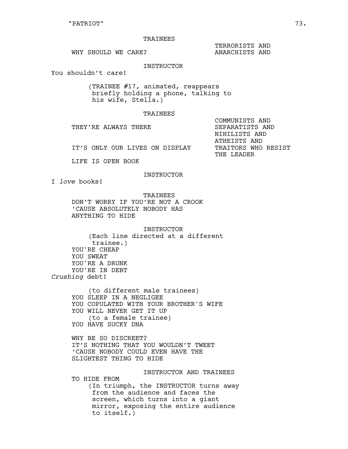#### TRAINEES

TERRORISTS AND

WHY SHOULD WE CARE? AND ANARCHISTS AND

INSTRUCTOR

You shouldn't care!

(TRAINEE #17, animated, reappears briefly holding a phone, talking to his wife, Stella.)

#### TRAINEES

COMMUNISTS AND THEY'RE ALWAYS THERE **SEPARATISTS** AND NIHILISTS AND ATHEISTS AND IT'S ONLY OUR LIVES ON DISPLAY TRAITORS WHO RESIST THE LEADER

LIFE IS OPEN BOOK

### INSTRUCTOR

I *love* books!

TRAINEES DON'T WORRY IF YOU'RE NOT A CROOK 'CAUSE ABSOLUTELY NOBODY HAS ANYTHING TO HIDE

**INSTRUCTOR** (Each line directed at a different trainee.) YOU'RE CHEAP YOU SWEAT YOU'RE A DRUNK YOU'RE IN DEBT *Crushing* debt!

> (to different male trainees) YOU SLEEP IN A NEGLIGEE YOU COPULATED WITH YOUR BROTHER'S WIFE YOU WILL NEVER GET IT UP (to a female trainee) YOU HAVE SUCKY DNA

WHY BE SO DISCREET? IT'S NOTHING THAT YOU WOULDN'T TWEET 'CAUSE NOBODY COULD EVEN HAVE THE SLIGHTEST THING TO HIDE

## INSTRUCTOR AND TRAINEES

TO HIDE FROM (In triumph, the INSTRUCTOR turns away from the audience and faces the screen, which turns into a giant mirror, exposing the entire audience to itself.)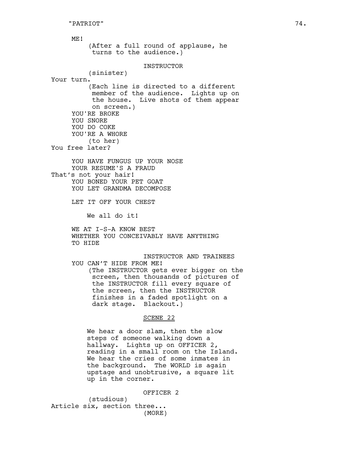ME! (After a full round of applause, he turns to the audience.) INSTRUCTOR (sinister) Your turn. (Each line is directed to a different member of the audience. Lights up on the house. Live shots of them appear on screen.) YOU'RE BROKE YOU SNORE YOU DO COKE YOU'RE A WHORE (to her) You free later? YOU HAVE FUNGUS UP YOUR NOSE YOUR RESUME'S A FRAUD That's not your hair! YOU BONED YOUR PET GOAT YOU LET GRANDMA DECOMPOSE LET IT OFF YOUR CHEST We all do it! WE AT I-S-A KNOW BEST WHETHER YOU CONCEIVABLY HAVE ANYTHING TO HIDE INSTRUCTOR AND TRAINEES YOU CAN'T HIDE FROM ME! (The INSTRUCTOR gets ever bigger on the screen, then thousands of pictures of the INSTRUCTOR fill every square of the screen, then the INSTRUCTOR finishes in a faded spotlight on a dark stage. Blackout.) SCENE 22 We hear a door slam, then the slow steps of someone walking down a hallway. Lights up on OFFICER 2, reading in a small room on the Island. We hear the cries of some inmates in

the background. The WORLD is again upstage and unobtrusive, a square lit up in the corner.

OFFICER 2

(studious) Article six, section three... (MORE)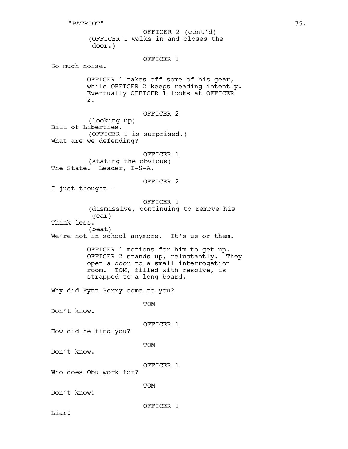(OFFICER 1 walks in and closes the door.) OFFICER 1 So much noise. OFFICER 1 takes off some of his gear, while OFFICER 2 keeps reading intently. Eventually OFFICER 1 looks at OFFICER 2. OFFICER 2 (looking up) Bill of Liberties. (OFFICER 1 is surprised.) What are we defending? OFFICER 1 (stating the obvious) The State. Leader, I-S-A. OFFICER 2 I just thought-- OFFICER 1 (dismissive, continuing to remove his gear) Think less. (beat) We're not in school anymore. It's us or them. OFFICER 1 motions for him to get up. OFFICER 2 stands up, reluctantly. They open a door to a small interrogation room. TOM, filled with resolve, is strapped to a long board. Why did Fynn Perry come to you? TOM Don't know. OFFICER 1 How did he find you? TOM Don't know. OFFICER 1 Who does Obu work for? TOM Don't know! OFFICER 1 OFFICER 2 (cont'd)

Liar!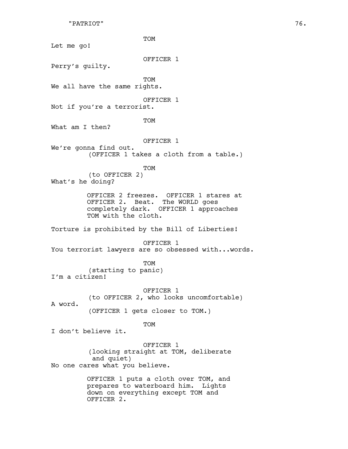"PATRIOT" 76.

TOM Let me go! OFFICER 1 Perry's guilty. **TOM** We all have the same rights. OFFICER 1 Not if you're a terrorist. TOM What am I then? OFFICER 1 We're gonna find out. (OFFICER 1 takes a cloth from a table.) TOM (to OFFICER 2) What's he doing? OFFICER 2 freezes. OFFICER 1 stares at OFFICER 2. Beat. The WORLD goes completely dark. OFFICER 1 approaches TOM with the cloth. Torture is prohibited by the Bill of Liberties! OFFICER 1 You terrorist lawyers are so obsessed with...words. TOM (starting to panic) I'm a citizen! OFFICER 1 (to OFFICER 2, who looks uncomfortable) A word. (OFFICER 1 gets closer to TOM.) TOM I don't believe it. OFFICER 1 (looking straight at TOM, deliberate and quiet) No one cares what you believe. OFFICER 1 puts a cloth over TOM, and prepares to waterboard him. Lights down on everything except TOM and

OFFICER 2.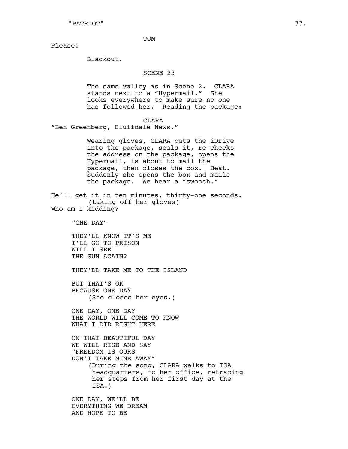**TOM** 

Please!

Blackout.

#### SCENE 23

The same valley as in Scene 2. CLARA stands next to a "Hypermail." She looks everywhere to make sure no one has followed her. Reading the package:

**CLARA** 

"Ben Greenberg, Bluffdale News."

Wearing gloves, CLARA puts the iDrive into the package, seals it, re-checks the address on the package, opens the Hypermail, is about to mail the package, then closes the box. Beat. Suddenly she opens the box and mails the package. We hear a "swoosh."

He'll get it in ten minutes, thirty-one seconds. (taking off her gloves)

Who am I kidding?

"ONE DAY"

THEY'LL KNOW IT'S ME I'LL GO TO PRISON WILL I SEE THE SUN AGAIN?

THEY'LL TAKE ME TO THE ISLAND

BUT THAT'S OK BECAUSE ONE DAY (She closes her eyes.)

ONE DAY, ONE DAY THE WORLD WILL COME TO KNOW WHAT I DID RIGHT HERE

ON THAT BEAUTIFUL DAY WE WILL RISE AND SAY "FREEDOM IS OURS DON'T TAKE MINE AWAY" (During the song, CLARA walks to ISA headquarters, to her office, retracing her steps from her first day at the ISA.)

ONE DAY, WE'LL BE EVERYTHING WE DREAM AND HOPE TO BE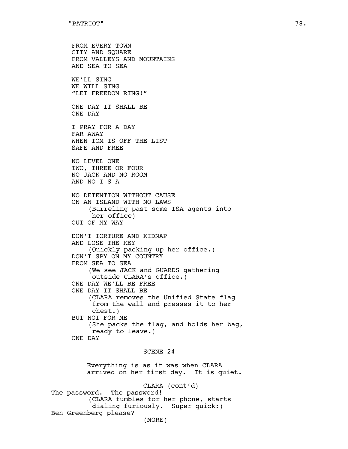```
FROM EVERY TOWN
CITY AND SQUARE
FROM VALLEYS AND MOUNTAINS
AND SEA TO SEA
WE'LL SING
WE WILL SING
"LET FREEDOM RING!"
ONE DAY IT SHALL BE
ONE DAY
I PRAY FOR A DAY
FAR AWAY
WHEN TOM IS OFF THE LIST
SAFE AND FREE
NO LEVEL ONE
TWO, THREE OR FOUR
NO JACK AND NO ROOM
AND NO I-S-A
NO DETENTION WITHOUT CAUSE
ON AN ISLAND WITH NO LAWS
    (Barreling past some ISA agents into
     her office)
OUT OF MY WAY
DON'T TORTURE AND KIDNAP
AND LOSE THE KEY
    (Quickly packing up her office.)
DON'T SPY ON MY COUNTRY
FROM SEA TO SEA
    (We see JACK and GUARDS gathering
     outside CLARA's office.)
ONE DAY WE'LL BE FREE
ONE DAY IT SHALL BE
    (CLARA removes the Unified State flag
     from the wall and presses it to her
     chest.)
BUT NOT FOR ME
    (She packs the flag, and holds her bag,
     ready to leave.)
ONE DAY
```
# SCENE 24

Everything is as it was when CLARA arrived on her first day. It is quiet.

CLARA (cont'd) The password. The password! (CLARA fumbles for her phone, starts dialing furiously. Super quick:) Ben Greenberg please? (MORE)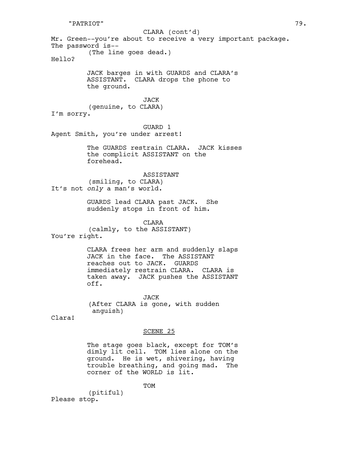"PATRIOT" 79.

Mr. Green--you're about to receive a very important package. The password is-- (The line goes dead.) Hello? JACK barges in with GUARDS and CLARA's ASSISTANT. CLARA drops the phone to the ground. JACK (genuine, to CLARA) I'm sorry. GUARD 1 Agent Smith, you're under arrest! The GUARDS restrain CLARA. JACK kisses the complicit ASSISTANT on the forehead. ASSISTANT (smiling, to CLARA) It's not *only* a man's world. GUARDS lead CLARA past JACK. She suddenly stops in front of him. CLARA (calmly, to the ASSISTANT) You're right. CLARA frees her arm and suddenly slaps JACK in the face. The ASSISTANT reaches out to JACK. GUARDS immediately restrain CLARA. CLARA is taken away. JACK pushes the ASSISTANT off. JACK (After CLARA is gone, with sudden anguish) Clara! SCENE 25 The stage goes black, except for TOM's dimly lit cell. TOM lies alone on the ground. He is wet, shivering, having trouble breathing, and going mad. The corner of the WORLD is lit. CLARA (cont'd)

TOM

(pitiful) Please stop.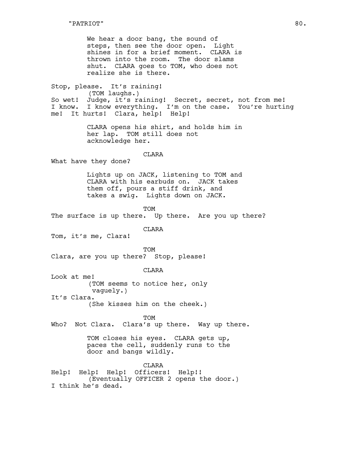We hear a door bang, the sound of steps, then see the door open. Light shines in for a brief moment. CLARA is thrown into the room. The door slams shut. CLARA goes to TOM, who does not realize she is there.

Stop, please. It's raining! (TOM laughs.) So wet! Judge, it's raining! Secret, secret, not from me! I know. I know everything. I'm on the case. You're hurting me! It hurts! Clara, help! Help!

> CLARA opens his shirt, and holds him in her lap. TOM still does not acknowledge her.

## CLARA

What have they done?

Lights up on JACK, listening to TOM and CLARA with his earbuds on. JACK takes them off, pours a stiff drink, and takes a swig. Lights down on JACK.

TOM

The surface is up there. Up there. Are you up there?

## **CLARA**

Tom, it's me, Clara!

TOM

Clara, are you up there? Stop, please!

CLARA

Look at me! (TOM seems to notice her, only vaguely.) It's Clara.

(She kisses him on the cheek.)

**TOM** 

Who? Not Clara. Clara's up there. Way up there.

TOM closes his eyes. CLARA gets up, paces the cell, suddenly runs to the door and bangs wildly.

CLARA

Help! Help! Help! Officers! Help!! (Eventually OFFICER 2 opens the door.) I think he's dead.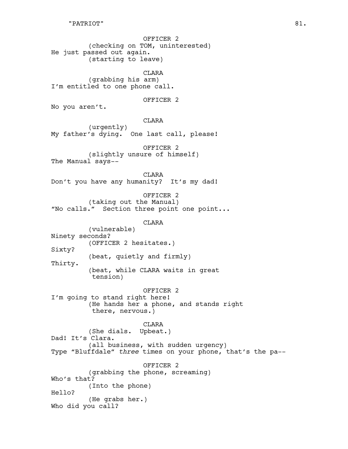OFFICER 2 (checking on TOM, uninterested) He just passed out again. (starting to leave)

CLARA (grabbing his arm) I'm entitled to one phone call.

OFFICER 2

No you aren't.

CLARA

(urgently) My father's dying. One last call, please!

OFFICER 2 (slightly unsure of himself) The Manual says--

CLARA Don't you have any humanity? It's my dad!

OFFICER 2

(taking out the Manual) "No calls." Section three point one point...

CLARA

(vulnerable) Ninety seconds? (OFFICER 2 hesitates.) Sixty? (beat, quietly and firmly) Thirty. (beat, while CLARA waits in great tension)

# OFFICER 2

I'm going to stand right here! (He hands her a phone, and stands right there, nervous.)

CLARA

(She dials. Upbeat.) Dad! It's Clara. (all business, with sudden urgency) Type "Bluffdale" *three* times on your phone, that's the pa--

OFFICER 2

(grabbing the phone, screaming) Who's that? (Into the phone) Hello? (He grabs her.) Who did you call?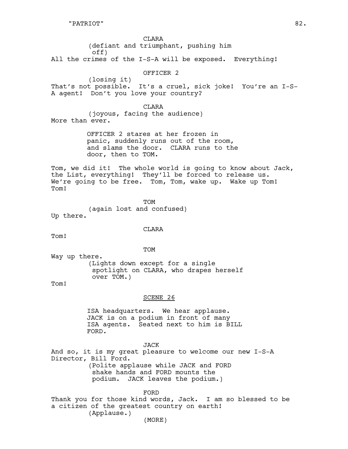**CLARA** (defiant and triumphant, pushing him off) All the crimes of the I-S-A will be exposed. Everything!

OFFICER 2

(losing it) That's not possible. It's a cruel, sick joke! You're an I-S-A agent! Don't you love your country?

CLARA

(joyous, facing the audience) More than ever.

> OFFICER 2 stares at her frozen in panic, suddenly runs out of the room, and slams the door. CLARA runs to the door, then to TOM.

Tom, we did it! The whole world is going to know about Jack, the List, everything! They'll be forced to release us. We're going to be free. Tom, Tom, wake up. Wake up Tom! Tom!

TOM (again lost and confused) Up there.

**CLARA** 

Tom!

TOM

Way up there. (Lights down except for a single spotlight on CLARA, who drapes herself over TOM.)

Tom!

# SCENE 26

ISA headquarters. We hear applause. JACK is on a podium in front of many ISA agents. Seated next to him is BILL FORD.

JACK

And so, it is my great pleasure to welcome our new I-S-A Director, Bill Ford. (Polite applause while JACK and FORD shake hands and FORD mounts the podium. JACK leaves the podium.)

FORD

Thank you for those kind words, Jack. I am so blessed to be a citizen of the greatest country on earth! (Applause.) (MORE)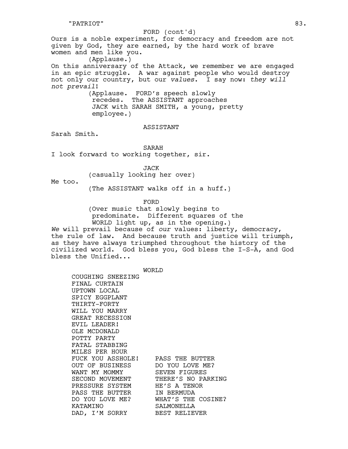Ours is a noble experiment, for democracy and freedom are not given by God, they are earned, by the hard work of brave women and men like you. (Applause.) On this anniversary of the Attack, we remember we are engaged in an epic struggle. A war against people who would destroy not only our country, but our *values*. I say now: *they will not prevail*! (Applause. FORD's speech slowly recedes. The ASSISTANT approaches JACK with SARAH SMITH, a young, pretty employee.) FORD (cont'd)

### ASSISTANT

Sarah Smith.

SARAH

I look forward to working together, sir.

JACK

(casually looking her over)

Me too.

(The ASSISTANT walks off in a huff.)

FORD

(Over music that slowly begins to predominate. Different squares of the WORLD light up, as in the opening.)

*We* will prevail because of *our* values: liberty, democracy, the rule of law. And because truth and justice will triumph, as they have always triumphed throughout the history of the civilized world. God bless you, God bless the I-S-A, and God bless the Unified...

WORT<sub>I</sub>D

COUGHING SNEEZING FINAL CURTAIN UPTOWN LOCAL SPICY EGGPLANT THIRTY-FORTY WILL YOU MARRY GREAT RECESSION EVIL LEADER! OLE MCDONALD POTTY PARTY FATAL STABBING MILES PER HOUR FUCK YOU ASSHOLE! PASS THE BUTTER OUT OF BUSINESS DO YOU LOVE ME? WANT MY MOMMY SEVEN FIGURES SECOND MOVEMENT THERE'S NO PARKING PRESSURE SYSTEM HE'S A TENOR PASS THE BUTTER IN BERMUDA DO YOU LOVE ME? WHAT'S THE COSINE? KATAMINO SALMONELLA DAD, I'M SORRY BEST RELIEVER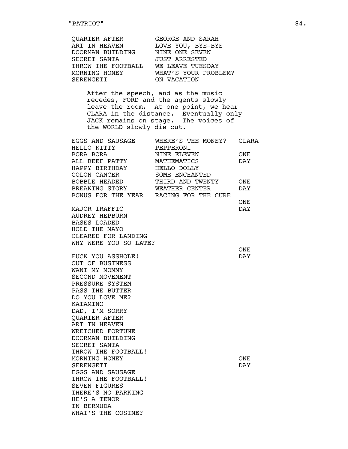| QUARTER AFTER<br>ART IN HEAVEN<br>DOORMAN BUILDING<br>SECRET SANTA<br>THROW THE FOOTBALL WE LEAVE TUESDAY<br>MORNING HONEY WHAT'S YOUR PROBLEM?<br>SERENGETI<br>SERENGETI | GEORGE AND SARAH<br>LOVE YOU, BYE-BYE<br>NINE ONE SEVEN<br>JUST ARRESTED<br>ON VACATION                                                                                                              |     |
|---------------------------------------------------------------------------------------------------------------------------------------------------------------------------|------------------------------------------------------------------------------------------------------------------------------------------------------------------------------------------------------|-----|
| the WORLD slowly die out.                                                                                                                                                 | After the speech, and as the music<br>recedes, FORD and the agents slowly<br>leave the room. At one point, we hear<br>CLARA in the distance. Eventually only<br>JACK remains on stage. The voices of |     |
|                                                                                                                                                                           |                                                                                                                                                                                                      |     |
|                                                                                                                                                                           |                                                                                                                                                                                                      |     |
|                                                                                                                                                                           |                                                                                                                                                                                                      |     |
| ALL BEEF PATTY MATHEMATICS                                                                                                                                                |                                                                                                                                                                                                      | DAY |
|                                                                                                                                                                           |                                                                                                                                                                                                      |     |
|                                                                                                                                                                           |                                                                                                                                                                                                      |     |
|                                                                                                                                                                           |                                                                                                                                                                                                      |     |
| BONUS FOR THE YEAR RACING FOR THE CURE                                                                                                                                    | BREAKING STORY WEATHER CENTER                                                                                                                                                                        | DAY |
|                                                                                                                                                                           |                                                                                                                                                                                                      | ONE |
| MAJOR TRAFFIC                                                                                                                                                             |                                                                                                                                                                                                      | DAY |
| <b>AUDREY HEPBURN</b>                                                                                                                                                     |                                                                                                                                                                                                      |     |
| <b>BASES LOADED</b>                                                                                                                                                       |                                                                                                                                                                                                      |     |
| HOLD THE MAYO                                                                                                                                                             |                                                                                                                                                                                                      |     |
| CLEARED FOR LANDING                                                                                                                                                       |                                                                                                                                                                                                      |     |
| WHY WERE YOU SO LATE?                                                                                                                                                     |                                                                                                                                                                                                      |     |
|                                                                                                                                                                           |                                                                                                                                                                                                      | ONE |
| FUCK YOU ASSHOLE!                                                                                                                                                         |                                                                                                                                                                                                      | DAY |
| OUT OF BUSINESS                                                                                                                                                           |                                                                                                                                                                                                      |     |
| WANT MY MOMMY                                                                                                                                                             |                                                                                                                                                                                                      |     |
| SECOND MOVEMENT                                                                                                                                                           |                                                                                                                                                                                                      |     |
| PRESSURE SYSTEM                                                                                                                                                           |                                                                                                                                                                                                      |     |
| PASS THE BUTTER                                                                                                                                                           |                                                                                                                                                                                                      |     |
| DO YOU LOVE ME?                                                                                                                                                           |                                                                                                                                                                                                      |     |
| KATAMINO                                                                                                                                                                  |                                                                                                                                                                                                      |     |
| DAD, I'M SORRY                                                                                                                                                            |                                                                                                                                                                                                      |     |
| QUARTER AFTER                                                                                                                                                             |                                                                                                                                                                                                      |     |
| ART IN HEAVEN                                                                                                                                                             |                                                                                                                                                                                                      |     |
| WRETCHED FORTUNE                                                                                                                                                          |                                                                                                                                                                                                      |     |
| DOORMAN BUILDING                                                                                                                                                          |                                                                                                                                                                                                      |     |
| SECRET SANTA                                                                                                                                                              |                                                                                                                                                                                                      |     |
| THROW THE FOOTBALL!                                                                                                                                                       |                                                                                                                                                                                                      |     |
| MORNING HONEY                                                                                                                                                             |                                                                                                                                                                                                      | ONE |
| SERENGETI                                                                                                                                                                 |                                                                                                                                                                                                      | DAY |
| EGGS AND SAUSAGE                                                                                                                                                          |                                                                                                                                                                                                      |     |
| THROW THE FOOTBALL!                                                                                                                                                       |                                                                                                                                                                                                      |     |
| <b>SEVEN FIGURES</b>                                                                                                                                                      |                                                                                                                                                                                                      |     |
| THERE'S NO PARKING                                                                                                                                                        |                                                                                                                                                                                                      |     |
| HE'S A TENOR                                                                                                                                                              |                                                                                                                                                                                                      |     |
| IN BERMUDA                                                                                                                                                                |                                                                                                                                                                                                      |     |
| WHAT'S THE COSINE?                                                                                                                                                        |                                                                                                                                                                                                      |     |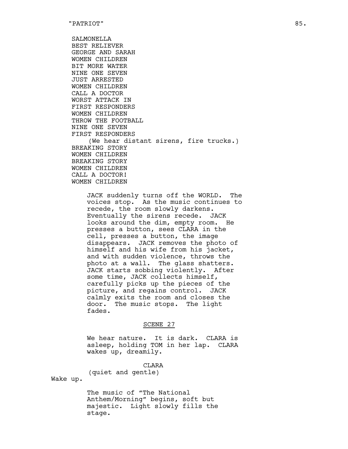SALMONELLA BEST RELIEVER GEORGE AND SARAH WOMEN CHILDREN BIT MORE WATER NINE ONE SEVEN JUST ARRESTED WOMEN CHILDREN CALL A DOCTOR WORST ATTACK IN FIRST RESPONDERS WOMEN CHILDREN THROW THE FOOTBALL NINE ONE SEVEN FIRST RESPONDERS (We hear distant sirens, fire trucks.) BREAKING STORY WOMEN CHILDREN BREAKING STORY WOMEN CHILDREN CALL A DOCTOR! WOMEN CHILDREN

JACK suddenly turns off the WORLD. The voices stop. As the music continues to recede, the room slowly darkens. Eventually the sirens recede. JACK looks around the dim, empty room. He presses a button, sees CLARA in the cell, presses a button, the image disappears. JACK removes the photo of himself and his wife from his jacket, and with sudden violence, throws the photo at a wall. The glass shatters. JACK starts sobbing violently. After some time, JACK collects himself, carefully picks up the pieces of the picture, and regains control. JACK calmly exits the room and closes the door. The music stops. The light fades.

#### SCENE 27

We hear nature. It is dark. CLARA is asleep, holding TOM in her lap. CLARA wakes up, dreamily.

CLARA (quiet and gentle)

Wake up.

The music of "The National Anthem/Morning" begins, soft but majestic. Light slowly fills the stage.